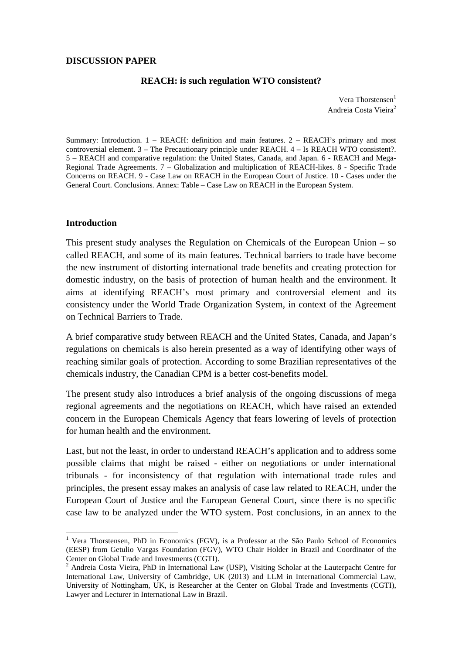#### **REACH: is such regulation WTO consistent?**

Vera Thorstensen<sup>1</sup> Andreia Costa Vieira<sup>2</sup>

Summary: Introduction. 1 – REACH: definition and main features. 2 – REACH's primary and most controversial element. 3 – The Precautionary principle under REACH. 4 – Is REACH WTO consistent?. 5 – REACH and comparative regulation: the United States, Canada, and Japan. 6 - REACH and Mega-Regional Trade Agreements. 7 – Globalization and multiplication of REACH-likes. 8 - Specific Trade Concerns on REACH. 9 - Case Law on REACH in the European Court of Justice. 10 - Cases under the General Court. Conclusions. Annex: Table – Case Law on REACH in the European System.

#### **Introduction**

 $\overline{a}$ 

This present study analyses the Regulation on Chemicals of the European Union – so called REACH, and some of its main features. Technical barriers to trade have become the new instrument of distorting international trade benefits and creating protection for domestic industry, on the basis of protection of human health and the environment. It aims at identifying REACH's most primary and controversial element and its consistency under the World Trade Organization System, in context of the Agreement on Technical Barriers to Trade.

A brief comparative study between REACH and the United States, Canada, and Japan's regulations on chemicals is also herein presented as a way of identifying other ways of reaching similar goals of protection. According to some Brazilian representatives of the chemicals industry, the Canadian CPM is a better cost-benefits model.

The present study also introduces a brief analysis of the ongoing discussions of mega regional agreements and the negotiations on REACH, which have raised an extended concern in the European Chemicals Agency that fears lowering of levels of protection for human health and the environment.

Last, but not the least, in order to understand REACH's application and to address some possible claims that might be raised - either on negotiations or under international tribunals - for inconsistency of that regulation with international trade rules and principles, the present essay makes an analysis of case law related to REACH, under the European Court of Justice and the European General Court, since there is no specific case law to be analyzed under the WTO system. Post conclusions, in an annex to the

<sup>&</sup>lt;sup>1</sup> Vera Thorstensen, PhD in Economics (FGV), is a Professor at the São Paulo School of Economics (EESP) from Getulio Vargas Foundation (FGV), WTO Chair Holder in Brazil and Coordinator of the Center on Global Trade and Investments (CGTI).

<sup>2</sup> Andreia Costa Vieira, PhD in International Law (USP), Visiting Scholar at the Lauterpacht Centre for International Law, University of Cambridge, UK (2013) and LLM in International Commercial Law, University of Nottingham, UK, is Researcher at the Center on Global Trade and Investments (CGTI), Lawyer and Lecturer in International Law in Brazil.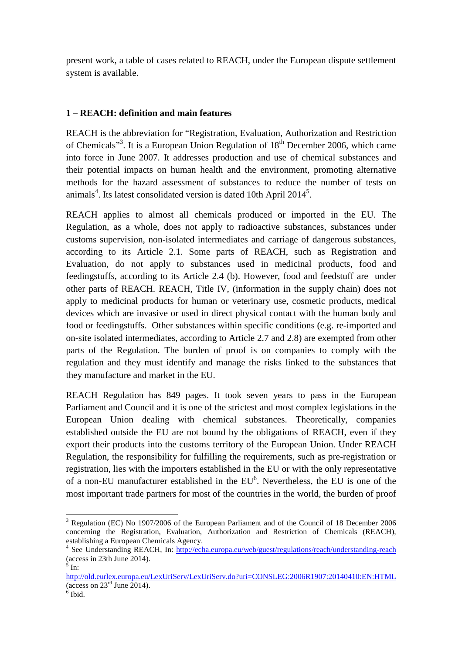present work, a table of cases related to REACH, under the European dispute settlement system is available.

# **1 – REACH: definition and main features**

REACH is the abbreviation for "Registration, Evaluation, Authorization and Restriction of Chemicals"<sup>3</sup>. It is a European Union Regulation of 18<sup>th</sup> December 2006, which came into force in June 2007. It addresses production and use of chemical substances and their potential impacts on human health and the environment, promoting alternative methods for the hazard assessment of substances to reduce the number of tests on animals<sup>4</sup>. Its latest consolidated version is dated 10th April 2014<sup>5</sup>.

REACH applies to almost all chemicals produced or imported in the EU. The Regulation, as a whole, does not apply to radioactive substances, substances under customs supervision, non-isolated intermediates and carriage of dangerous substances, according to its Article 2.1. Some parts of REACH, such as Registration and Evaluation, do not apply to substances used in medicinal products, food and feedingstuffs, according to its Article 2.4 (b). However, food and feedstuff are under other parts of REACH. REACH, Title IV, (information in the supply chain) does not apply to medicinal products for human or veterinary use, cosmetic products, medical devices which are invasive or used in direct physical contact with the human body and food or feedingstuffs. Other substances within specific conditions (e.g. re-imported and on-site isolated intermediates, according to Article 2.7 and 2.8) are exempted from other parts of the Regulation. The burden of proof is on companies to comply with the regulation and they must identify and manage the risks linked to the substances that they manufacture and market in the EU.

REACH Regulation has 849 pages. It took seven years to pass in the European Parliament and Council and it is one of the strictest and most complex legislations in the European Union dealing with chemical substances. Theoretically, companies established outside the EU are not bound by the obligations of REACH, even if they export their products into the customs territory of the European Union. Under REACH Regulation, the responsibility for fulfilling the requirements, such as pre-registration or registration, lies with the importers established in the EU or with the only representative of a non-EU manufacturer established in the  $EU^6$ . Nevertheless, the EU is one of the most important trade partners for most of the countries in the world, the burden of proof

<sup>&</sup>lt;sup>3</sup> Regulation (EC) No 1907/2006 of the European Parliament and of the Council of 18 December 2006 concerning the Registration, Evaluation, Authorization and Restriction of Chemicals (REACH), establishing a European Chemicals Agency.

<sup>&</sup>lt;sup>4</sup> See Understanding REACH, In: http://echa.europa.eu/web/guest/regulations/reach/understanding-reach (access in 23th June 2014).

 $<sup>5</sup>$  In:</sup>

http://old.eurlex.europa.eu/LexUriServ/LexUriServ.do?uri=CONSLEG:2006R1907:20140410:EN:HTML (access on  $23<sup>rd</sup>$  June 2014).

<sup>6</sup> Ibid.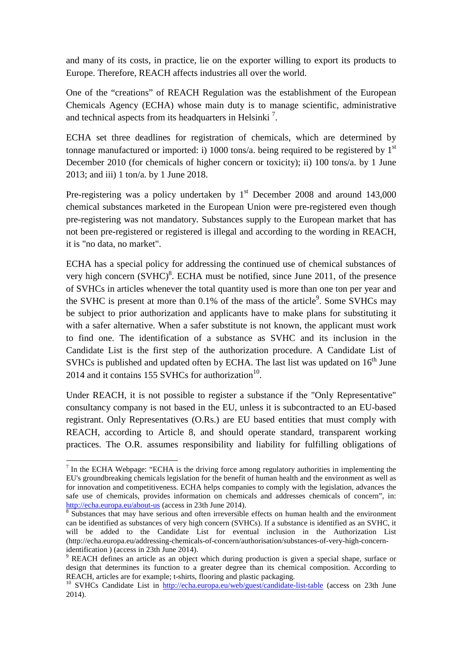and many of its costs, in practice, lie on the exporter willing to export its products to Europe. Therefore, REACH affects industries all over the world.

One of the "creations" of REACH Regulation was the establishment of the European Chemicals Agency (ECHA) whose main duty is to manage scientific, administrative and technical aspects from its headquarters in Helsinki<sup>7</sup>.

ECHA set three deadlines for registration of chemicals, which are determined by tonnage manufactured or imported: i) 1000 tons/a. being required to be registered by  $1<sup>st</sup>$ December 2010 (for chemicals of higher concern or toxicity); ii) 100 tons/a. by 1 June 2013; and iii) 1 ton/a. by 1 June 2018.

Pre-registering was a policy undertaken by  $1<sup>st</sup>$  December 2008 and around 143,000 chemical substances marketed in the European Union were pre-registered even though pre-registering was not mandatory. Substances supply to the European market that has not been pre-registered or registered is illegal and according to the wording in REACH, it is "no data, no market".

ECHA has a special policy for addressing the continued use of chemical substances of very high concern  $(SVHC)^8$ . ECHA must be notified, since June 2011, of the presence of SVHCs in articles whenever the total quantity used is more than one ton per year and the SVHC is present at more than  $0.1\%$  of the mass of the article<sup>9</sup>. Some SVHCs may be subject to prior authorization and applicants have to make plans for substituting it with a safer alternative. When a safer substitute is not known, the applicant must work to find one. The identification of a substance as SVHC and its inclusion in the Candidate List is the first step of the authorization procedure. A Candidate List of SVHCs is published and updated often by ECHA. The last list was updated on  $16<sup>th</sup>$  June 2014 and it contains 155 SVHCs for authorization<sup>10</sup>.

Under REACH, it is not possible to register a substance if the "Only Representative" consultancy company is not based in the EU, unless it is subcontracted to an EU-based registrant. Only Representatives (O.Rs.) are EU based entities that must comply with REACH, according to Article 8, and should operate standard, transparent working practices. The O.R. assumes responsibility and liability for fulfilling obligations of

 $<sup>7</sup>$  In the ECHA Webpage: "ECHA is the driving force among regulatory authorities in implementing the</sup> EU's groundbreaking chemicals legislation for the benefit of human health and the environment as well as for innovation and competitiveness. ECHA helps companies to comply with the legislation, advances the safe use of chemicals, provides information on chemicals and addresses chemicals of concern", in: http://echa.europa.eu/about-us (access in 23th June 2014).

<sup>&</sup>lt;sup>8</sup> Substances that may have serious and often irreversible effects on human health and the environment can be identified as substances of very high concern (SVHCs). If a substance is identified as an SVHC, it will be added to the Candidate List for eventual inclusion in the Authorization List (http://echa.europa.eu/addressing-chemicals-of-concern/authorisation/substances-of-very-high-concernidentification ) (access in 23th June 2014).

<sup>&</sup>lt;sup>9</sup> REACH defines an article as an object which during production is given a special shape, surface or design that determines its function to a greater degree than its chemical composition. According to REACH, articles are for example; t-shirts, flooring and plastic packaging.

<sup>&</sup>lt;sup>10</sup> SVHCs Candidate List in http://echa.europa.eu/web/guest/candidate-list-table (access on 23th June 2014).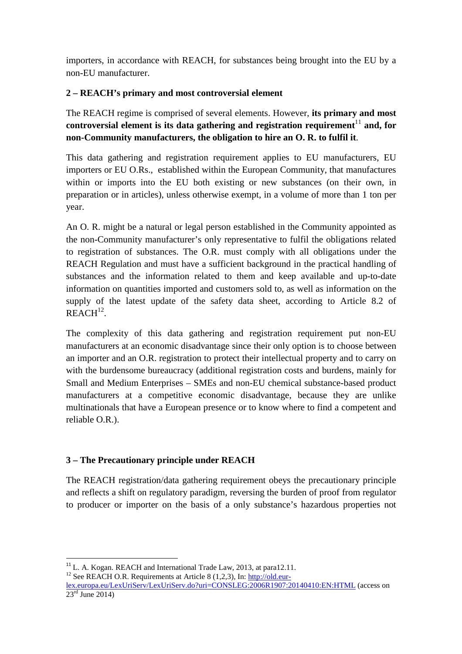importers, in accordance with REACH, for substances being brought into the EU by a non-EU manufacturer.

# **2 – REACH's primary and most controversial element**

The REACH regime is comprised of several elements. However, **its primary and most controversial element is its data gathering and registration requirement**<sup>11</sup> and, for **non-Community manufacturers, the obligation to hire an O. R. to fulfil it**.

This data gathering and registration requirement applies to EU manufacturers, EU importers or EU O.Rs., established within the European Community, that manufactures within or imports into the EU both existing or new substances (on their own, in preparation or in articles), unless otherwise exempt, in a volume of more than 1 ton per year.

An O. R. might be a natural or legal person established in the Community appointed as the non-Community manufacturer's only representative to fulfil the obligations related to registration of substances. The O.R. must comply with all obligations under the REACH Regulation and must have a sufficient background in the practical handling of substances and the information related to them and keep available and up-to-date information on quantities imported and customers sold to, as well as information on the supply of the latest update of the safety data sheet, according to Article 8.2 of  $REACH<sup>12</sup>$ .

The complexity of this data gathering and registration requirement put non-EU manufacturers at an economic disadvantage since their only option is to choose between an importer and an O.R. registration to protect their intellectual property and to carry on with the burdensome bureaucracy (additional registration costs and burdens, mainly for Small and Medium Enterprises – SMEs and non-EU chemical substance-based product manufacturers at a competitive economic disadvantage, because they are unlike multinationals that have a European presence or to know where to find a competent and reliable O.R.).

# **3 – The Precautionary principle under REACH**

 $\overline{a}$ 

The REACH registration/data gathering requirement obeys the precautionary principle and reflects a shift on regulatory paradigm, reversing the burden of proof from regulator to producer or importer on the basis of a only substance's hazardous properties not

<sup>12</sup> See REACH O.R. Requirements at Article 8 (1,2,3), In:  $\frac{http://old.eu-17}{http://old.eu-17}$ 

<sup>&</sup>lt;sup>11</sup> L. A. Kogan. REACH and International Trade Law, 2013, at para12.11.

lex.europa.eu/LexUriServ/LexUriServ.do?uri=CONSLEG:2006R1907:20140410:EN:HTML (access on  $23<sup>rd</sup>$  June 2014)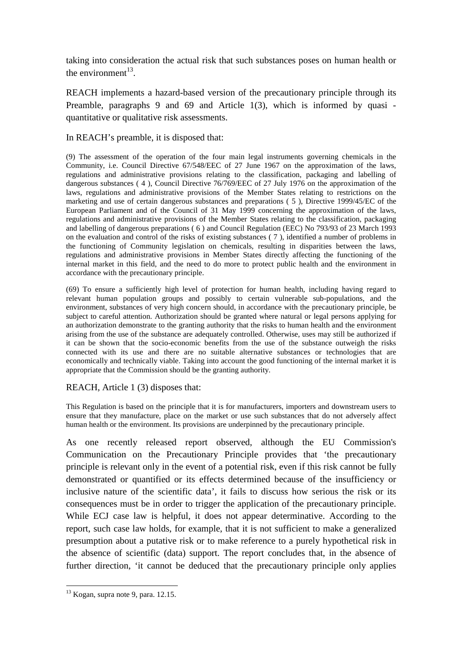taking into consideration the actual risk that such substances poses on human health or the environment $^{13}$ .

REACH implements a hazard-based version of the precautionary principle through its Preamble, paragraphs 9 and 69 and Article 1(3), which is informed by quasi quantitative or qualitative risk assessments.

In REACH's preamble, it is disposed that:

(9) The assessment of the operation of the four main legal instruments governing chemicals in the Community, i.e. Council Directive 67/548/EEC of 27 June 1967 on the approximation of the laws, regulations and administrative provisions relating to the classification, packaging and labelling of dangerous substances ( 4 ), Council Directive 76/769/EEC of 27 July 1976 on the approximation of the laws, regulations and administrative provisions of the Member States relating to restrictions on the marketing and use of certain dangerous substances and preparations ( 5 ), Directive 1999/45/EC of the European Parliament and of the Council of 31 May 1999 concerning the approximation of the laws, regulations and administrative provisions of the Member States relating to the classification, packaging and labelling of dangerous preparations ( 6 ) and Council Regulation (EEC) No 793/93 of 23 March 1993 on the evaluation and control of the risks of existing substances ( 7 ), identified a number of problems in the functioning of Community legislation on chemicals, resulting in disparities between the laws, regulations and administrative provisions in Member States directly affecting the functioning of the internal market in this field, and the need to do more to protect public health and the environment in accordance with the precautionary principle.

(69) To ensure a sufficiently high level of protection for human health, including having regard to relevant human population groups and possibly to certain vulnerable sub-populations, and the environment, substances of very high concern should, in accordance with the precautionary principle, be subject to careful attention. Authorization should be granted where natural or legal persons applying for an authorization demonstrate to the granting authority that the risks to human health and the environment arising from the use of the substance are adequately controlled. Otherwise, uses may still be authorized if it can be shown that the socio-economic benefits from the use of the substance outweigh the risks connected with its use and there are no suitable alternative substances or technologies that are economically and technically viable. Taking into account the good functioning of the internal market it is appropriate that the Commission should be the granting authority.

## REACH, Article 1 (3) disposes that:

This Regulation is based on the principle that it is for manufacturers, importers and downstream users to ensure that they manufacture, place on the market or use such substances that do not adversely affect human health or the environment. Its provisions are underpinned by the precautionary principle.

As one recently released report observed, although the EU Commission's Communication on the Precautionary Principle provides that 'the precautionary principle is relevant only in the event of a potential risk, even if this risk cannot be fully demonstrated or quantified or its effects determined because of the insufficiency or inclusive nature of the scientific data', it fails to discuss how serious the risk or its consequences must be in order to trigger the application of the precautionary principle. While ECJ case law is helpful, it does not appear determinative. According to the report, such case law holds, for example, that it is not sufficient to make a generalized presumption about a putative risk or to make reference to a purely hypothetical risk in the absence of scientific (data) support. The report concludes that, in the absence of further direction, 'it cannot be deduced that the precautionary principle only applies

 $13$  Kogan, supra note 9, para. 12.15.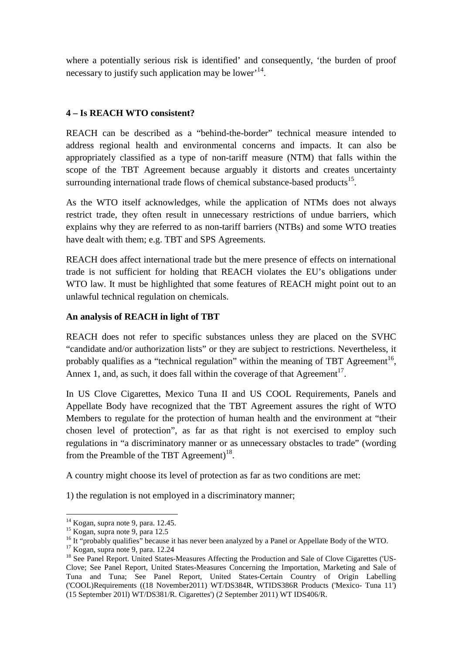where a potentially serious risk is identified' and consequently, 'the burden of proof necessary to justify such application may be lower<sup>, 14</sup>.

# **4 – Is REACH WTO consistent?**

REACH can be described as a "behind-the-border" technical measure intended to address regional health and environmental concerns and impacts. It can also be appropriately classified as a type of non-tariff measure (NTM) that falls within the scope of the TBT Agreement because arguably it distorts and creates uncertainty surrounding international trade flows of chemical substance-based products $^{15}$ .

As the WTO itself acknowledges, while the application of NTMs does not always restrict trade, they often result in unnecessary restrictions of undue barriers, which explains why they are referred to as non-tariff barriers (NTBs) and some WTO treaties have dealt with them; e.g. TBT and SPS Agreements.

REACH does affect international trade but the mere presence of effects on international trade is not sufficient for holding that REACH violates the EU's obligations under WTO law. It must be highlighted that some features of REACH might point out to an unlawful technical regulation on chemicals.

## **An analysis of REACH in light of TBT**

REACH does not refer to specific substances unless they are placed on the SVHC "candidate and/or authorization lists" or they are subject to restrictions. Nevertheless, it probably qualifies as a "technical regulation" within the meaning of TBT Agreement<sup>16</sup>, Annex 1, and, as such, it does fall within the coverage of that Agreement<sup>17</sup>.

In US Clove Cigarettes, Mexico Tuna II and US COOL Requirements, Panels and Appellate Body have recognized that the TBT Agreement assures the right of WTO Members to regulate for the protection of human health and the environment at "their chosen level of protection", as far as that right is not exercised to employ such regulations in "a discriminatory manner or as unnecessary obstacles to trade" (wording from the Preamble of the TBT Agreement)<sup>18</sup>.

A country might choose its level of protection as far as two conditions are met:

1) the regulation is not employed in a discriminatory manner;

 $14$  Kogan, supra note 9, para. 12.45.

<sup>&</sup>lt;sup>15</sup> Kogan, supra note 9, para 12.5

<sup>&</sup>lt;sup>16</sup> It "probably qualifies" because it has never been analyzed by a Panel or Appellate Body of the WTO.

 $17$  Kogan, supra note 9, para. 12.24

<sup>&</sup>lt;sup>18</sup> See Panel Report. United States-Measures Affecting the Production and Sale of Clove Cigarettes ('US-Clove; See Panel Report, United States-Measures Concerning the Importation, Marketing and Sale of Tuna and Tuna; See Panel Report, United States-Certain Country of Origin Labelling ('COOL)Requirements ((18 November2011) WT/DS384R, WTIDS386R Products ('Mexico- Tuna 11') (15 September 201l) WT/DS381/R. Cigarettes') (2 September 2011) WT IDS406/R.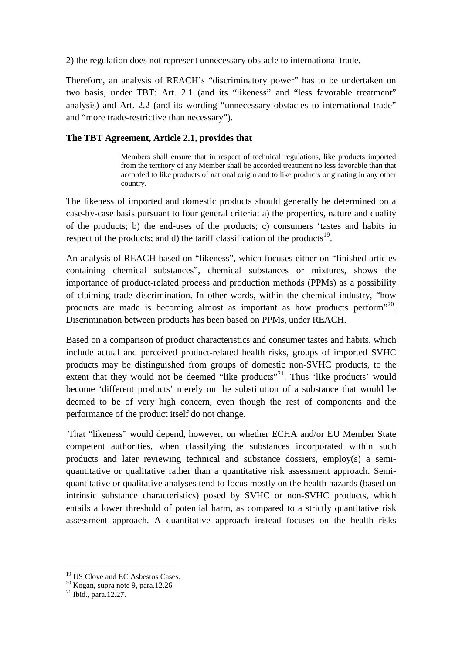2) the regulation does not represent unnecessary obstacle to international trade.

Therefore, an analysis of REACH's "discriminatory power" has to be undertaken on two basis, under TBT: Art. 2.1 (and its "likeness" and "less favorable treatment" analysis) and Art. 2.2 (and its wording "unnecessary obstacles to international trade" and "more trade-restrictive than necessary").

## **The TBT Agreement, Article 2.1, provides that**

Members shall ensure that in respect of technical regulations, like products imported from the territory of any Member shall be accorded treatment no less favorable than that accorded to like products of national origin and to like products originating in any other country.

The likeness of imported and domestic products should generally be determined on a case-by-case basis pursuant to four general criteria: a) the properties, nature and quality of the products; b) the end-uses of the products; c) consumers 'tastes and habits in respect of the products; and d) the tariff classification of the products<sup>19</sup>.

An analysis of REACH based on "likeness", which focuses either on "finished articles containing chemical substances", chemical substances or mixtures, shows the importance of product-related process and production methods (PPMs) as a possibility of claiming trade discrimination. In other words, within the chemical industry, "how products are made is becoming almost as important as how products perform<sup>320</sup>. Discrimination between products has been based on PPMs, under REACH.

Based on a comparison of product characteristics and consumer tastes and habits, which include actual and perceived product-related health risks, groups of imported SVHC products may be distinguished from groups of domestic non-SVHC products, to the extent that they would not be deemed "like products"<sup>21</sup>. Thus 'like products' would become 'different products' merely on the substitution of a substance that would be deemed to be of very high concern, even though the rest of components and the performance of the product itself do not change.

 That "likeness" would depend, however, on whether ECHA and/or EU Member State competent authorities, when classifying the substances incorporated within such products and later reviewing technical and substance dossiers, employ(s) a semiquantitative or qualitative rather than a quantitative risk assessment approach. Semiquantitative or qualitative analyses tend to focus mostly on the health hazards (based on intrinsic substance characteristics) posed by SVHC or non-SVHC products, which entails a lower threshold of potential harm, as compared to a strictly quantitative risk assessment approach. A quantitative approach instead focuses on the health risks

<sup>&</sup>lt;sup>19</sup> US Clove and EC Asbestos Cases.

<sup>20</sup> Kogan, supra note 9, para.12.26

 $^{21}$  Ibid., para.12.27.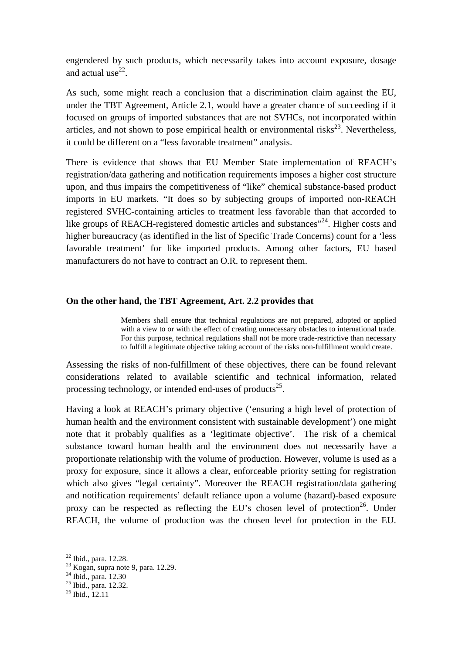engendered by such products, which necessarily takes into account exposure, dosage and actual use $^{22}$ .

As such, some might reach a conclusion that a discrimination claim against the EU, under the TBT Agreement, Article 2.1, would have a greater chance of succeeding if it focused on groups of imported substances that are not SVHCs, not incorporated within articles, and not shown to pose empirical health or environmental risks $^{23}$ . Nevertheless, it could be different on a "less favorable treatment" analysis.

There is evidence that shows that EU Member State implementation of REACH's registration/data gathering and notification requirements imposes a higher cost structure upon, and thus impairs the competitiveness of "like" chemical substance-based product imports in EU markets. "It does so by subjecting groups of imported non-REACH registered SVHC-containing articles to treatment less favorable than that accorded to like groups of REACH-registered domestic articles and substances<sup>"24</sup>. Higher costs and higher bureaucracy (as identified in the list of Specific Trade Concerns) count for a 'less favorable treatment' for like imported products. Among other factors, EU based manufacturers do not have to contract an O.R. to represent them.

#### **On the other hand, the TBT Agreement, Art. 2.2 provides that**

Members shall ensure that technical regulations are not prepared, adopted or applied with a view to or with the effect of creating unnecessary obstacles to international trade. For this purpose, technical regulations shall not be more trade-restrictive than necessary to fulfill a legitimate objective taking account of the risks non-fulfillment would create.

Assessing the risks of non-fulfillment of these objectives, there can be found relevant considerations related to available scientific and technical information, related processing technology, or intended end-uses of products $^{25}$ .

Having a look at REACH's primary objective ('ensuring a high level of protection of human health and the environment consistent with sustainable development') one might note that it probably qualifies as a 'legitimate objective'. The risk of a chemical substance toward human health and the environment does not necessarily have a proportionate relationship with the volume of production. However, volume is used as a proxy for exposure, since it allows a clear, enforceable priority setting for registration which also gives "legal certainty". Moreover the REACH registration/data gathering and notification requirements' default reliance upon a volume (hazard)-based exposure proxy can be respected as reflecting the EU's chosen level of protection<sup>26</sup>. Under REACH, the volume of production was the chosen level for protection in the EU.

<sup>22</sup> Ibid., para. 12.28.

<sup>&</sup>lt;sup>23</sup> Kogan, supra note 9, para. 12.29.

<sup>&</sup>lt;sup>24</sup> Ibid., para. 12.30

<sup>25</sup> Ibid., para. 12.32.

 $26$  Ibid., 12.11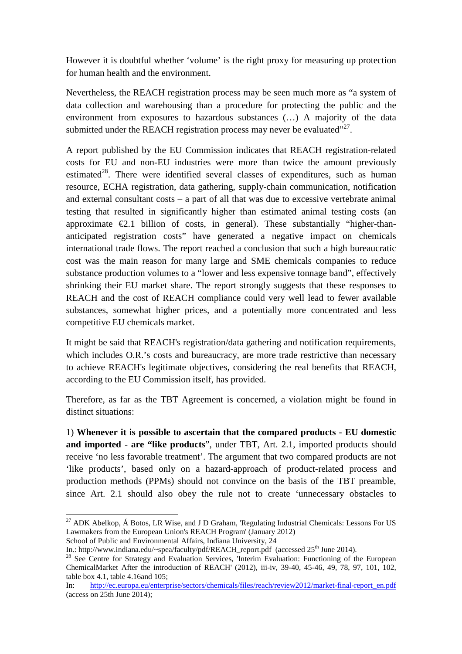However it is doubtful whether 'volume' is the right proxy for measuring up protection for human health and the environment.

Nevertheless, the REACH registration process may be seen much more as "a system of data collection and warehousing than a procedure for protecting the public and the environment from exposures to hazardous substances (…) A majority of the data submitted under the REACH registration process may never be evaluated"<sup>27</sup>.

A report published by the EU Commission indicates that REACH registration-related costs for EU and non-EU industries were more than twice the amount previously estimated<sup>28</sup>. There were identified several classes of expenditures, such as human resource, ECHA registration, data gathering, supply-chain communication, notification and external consultant costs – a part of all that was due to excessive vertebrate animal testing that resulted in significantly higher than estimated animal testing costs (an approximate  $\epsilon$ 2.1 billion of costs, in general). These substantially "higher-thananticipated registration costs" have generated a negative impact on chemicals international trade flows. The report reached a conclusion that such a high bureaucratic cost was the main reason for many large and SME chemicals companies to reduce substance production volumes to a "lower and less expensive tonnage band", effectively shrinking their EU market share. The report strongly suggests that these responses to REACH and the cost of REACH compliance could very well lead to fewer available substances, somewhat higher prices, and a potentially more concentrated and less competitive EU chemicals market.

It might be said that REACH's registration/data gathering and notification requirements, which includes O.R.'s costs and bureaucracy, are more trade restrictive than necessary to achieve REACH's legitimate objectives, considering the real benefits that REACH, according to the EU Commission itself, has provided.

Therefore, as far as the TBT Agreement is concerned, a violation might be found in distinct situations:

1) **Whenever it is possible to ascertain that the compared products - EU domestic and imported - are "like products**", under TBT, Art. 2.1, imported products should receive 'no less favorable treatment'. The argument that two compared products are not 'like products', based only on a hazard-approach of product-related process and production methods (PPMs) should not convince on the basis of the TBT preamble, since Art. 2.1 should also obey the rule not to create 'unnecessary obstacles to

<sup>&</sup>lt;sup>27</sup> ADK Abelkop, Á Botos, LR Wise, and J D Graham, 'Regulating Industrial Chemicals: Lessons For US Lawmakers from the European Union's REACH Program' (January 2012) School of Public and Environmental Affairs, Indiana University, 24

In.: http://www.indiana.edu/~spea/faculty/pdf/REACH\_report.pdf (accessed 25<sup>th</sup> June 2014).

<sup>&</sup>lt;sup>28</sup> See Centre for Strategy and Evaluation Services, 'Interim Evaluation: Functioning of the European ChemicalMarket After the introduction of REACH' (2012), iii-iv, 39-40, 45-46, 49, 78, 97, 101, 102, table box 4.1, table 4.16and 105;

In: http://ec.europa.eu/enterprise/sectors/chemicals/files/reach/review2012/market-final-report\_en.pdf (access on 25th June 2014);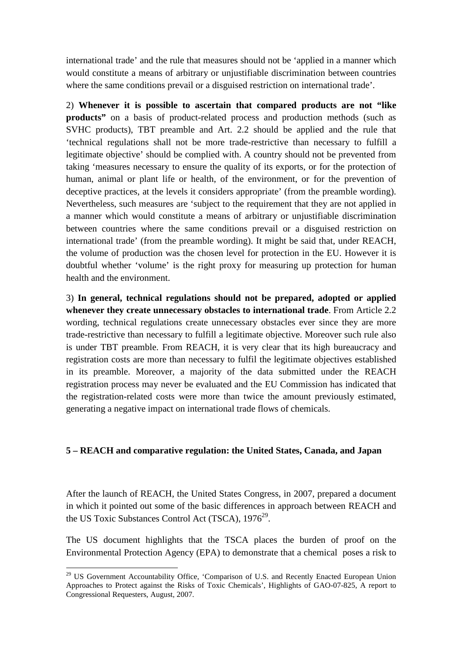international trade' and the rule that measures should not be 'applied in a manner which would constitute a means of arbitrary or unjustifiable discrimination between countries where the same conditions prevail or a disguised restriction on international trade'.

2) **Whenever it is possible to ascertain that compared products are not "like products**" on a basis of product-related process and production methods (such as SVHC products), TBT preamble and Art. 2.2 should be applied and the rule that 'technical regulations shall not be more trade-restrictive than necessary to fulfill a legitimate objective' should be complied with. A country should not be prevented from taking 'measures necessary to ensure the quality of its exports, or for the protection of human, animal or plant life or health, of the environment, or for the prevention of deceptive practices, at the levels it considers appropriate' (from the preamble wording). Nevertheless, such measures are 'subject to the requirement that they are not applied in a manner which would constitute a means of arbitrary or unjustifiable discrimination between countries where the same conditions prevail or a disguised restriction on international trade' (from the preamble wording). It might be said that, under REACH, the volume of production was the chosen level for protection in the EU. However it is doubtful whether 'volume' is the right proxy for measuring up protection for human health and the environment.

3) **In general, technical regulations should not be prepared, adopted or applied whenever they create unnecessary obstacles to international trade**. From Article 2.2 wording, technical regulations create unnecessary obstacles ever since they are more trade-restrictive than necessary to fulfill a legitimate objective. Moreover such rule also is under TBT preamble. From REACH, it is very clear that its high bureaucracy and registration costs are more than necessary to fulfil the legitimate objectives established in its preamble. Moreover, a majority of the data submitted under the REACH registration process may never be evaluated and the EU Commission has indicated that the registration-related costs were more than twice the amount previously estimated, generating a negative impact on international trade flows of chemicals.

## **5 – REACH and comparative regulation: the United States, Canada, and Japan**

After the launch of REACH, the United States Congress, in 2007, prepared a document in which it pointed out some of the basic differences in approach between REACH and the US Toxic Substances Control Act (TSCA),  $1976^{29}$ .

The US document highlights that the TSCA places the burden of proof on the Environmental Protection Agency (EPA) to demonstrate that a chemical poses a risk to

<sup>&</sup>lt;sup>29</sup> US Government Accountability Office, 'Comparison of U.S. and Recently Enacted European Union Approaches to Protect against the Risks of Toxic Chemicals', Highlights of GAO-07-825, A report to Congressional Requesters, August, 2007.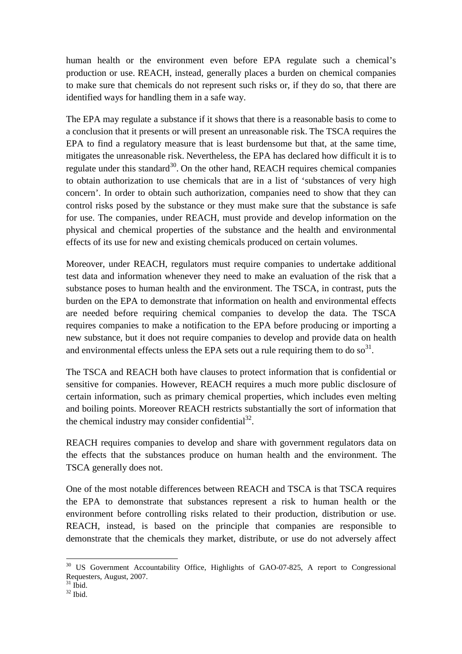human health or the environment even before EPA regulate such a chemical's production or use. REACH, instead, generally places a burden on chemical companies to make sure that chemicals do not represent such risks or, if they do so, that there are identified ways for handling them in a safe way.

The EPA may regulate a substance if it shows that there is a reasonable basis to come to a conclusion that it presents or will present an unreasonable risk. The TSCA requires the EPA to find a regulatory measure that is least burdensome but that, at the same time, mitigates the unreasonable risk. Nevertheless, the EPA has declared how difficult it is to regulate under this standard<sup>30</sup>. On the other hand, REACH requires chemical companies to obtain authorization to use chemicals that are in a list of 'substances of very high concern'. In order to obtain such authorization, companies need to show that they can control risks posed by the substance or they must make sure that the substance is safe for use. The companies, under REACH, must provide and develop information on the physical and chemical properties of the substance and the health and environmental effects of its use for new and existing chemicals produced on certain volumes.

Moreover, under REACH, regulators must require companies to undertake additional test data and information whenever they need to make an evaluation of the risk that a substance poses to human health and the environment. The TSCA, in contrast, puts the burden on the EPA to demonstrate that information on health and environmental effects are needed before requiring chemical companies to develop the data. The TSCA requires companies to make a notification to the EPA before producing or importing a new substance, but it does not require companies to develop and provide data on health and environmental effects unless the EPA sets out a rule requiring them to do  $so<sup>31</sup>$ .

The TSCA and REACH both have clauses to protect information that is confidential or sensitive for companies. However, REACH requires a much more public disclosure of certain information, such as primary chemical properties, which includes even melting and boiling points. Moreover REACH restricts substantially the sort of information that the chemical industry may consider confidential $^{32}$ .

REACH requires companies to develop and share with government regulators data on the effects that the substances produce on human health and the environment. The TSCA generally does not.

One of the most notable differences between REACH and TSCA is that TSCA requires the EPA to demonstrate that substances represent a risk to human health or the environment before controlling risks related to their production, distribution or use. REACH, instead, is based on the principle that companies are responsible to demonstrate that the chemicals they market, distribute, or use do not adversely affect

<sup>&</sup>lt;sup>30</sup> US Government Accountability Office, Highlights of GAO-07-825, A report to Congressional Requesters, August, 2007.

 $31$  Ibid.

 $32$  Ibid.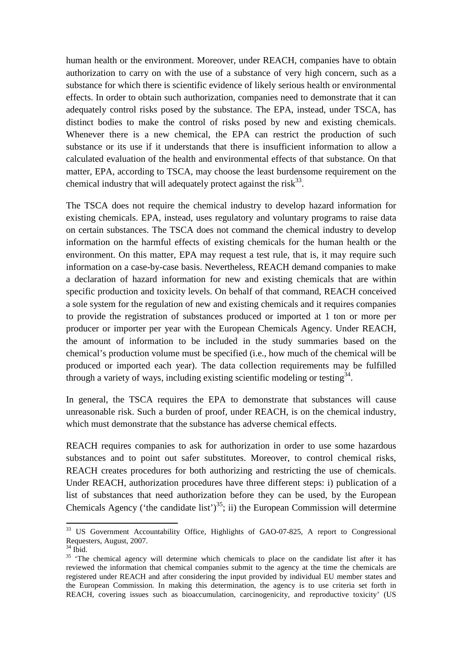human health or the environment. Moreover, under REACH, companies have to obtain authorization to carry on with the use of a substance of very high concern, such as a substance for which there is scientific evidence of likely serious health or environmental effects. In order to obtain such authorization, companies need to demonstrate that it can adequately control risks posed by the substance. The EPA, instead, under TSCA, has distinct bodies to make the control of risks posed by new and existing chemicals. Whenever there is a new chemical, the EPA can restrict the production of such substance or its use if it understands that there is insufficient information to allow a calculated evaluation of the health and environmental effects of that substance. On that matter, EPA, according to TSCA, may choose the least burdensome requirement on the chemical industry that will adequately protect against the risk $^{33}$ .

The TSCA does not require the chemical industry to develop hazard information for existing chemicals. EPA, instead, uses regulatory and voluntary programs to raise data on certain substances. The TSCA does not command the chemical industry to develop information on the harmful effects of existing chemicals for the human health or the environment. On this matter, EPA may request a test rule, that is, it may require such information on a case-by-case basis. Nevertheless, REACH demand companies to make a declaration of hazard information for new and existing chemicals that are within specific production and toxicity levels. On behalf of that command, REACH conceived a sole system for the regulation of new and existing chemicals and it requires companies to provide the registration of substances produced or imported at 1 ton or more per producer or importer per year with the European Chemicals Agency. Under REACH, the amount of information to be included in the study summaries based on the chemical's production volume must be specified (i.e., how much of the chemical will be produced or imported each year). The data collection requirements may be fulfilled through a variety of ways, including existing scientific modeling or testing  $34$ .

In general, the TSCA requires the EPA to demonstrate that substances will cause unreasonable risk. Such a burden of proof, under REACH, is on the chemical industry, which must demonstrate that the substance has adverse chemical effects.

REACH requires companies to ask for authorization in order to use some hazardous substances and to point out safer substitutes. Moreover, to control chemical risks, REACH creates procedures for both authorizing and restricting the use of chemicals. Under REACH, authorization procedures have three different steps: i) publication of a list of substances that need authorization before they can be used, by the European Chemicals Agency ('the candidate list')<sup>35</sup>; ii) the European Commission will determine

<sup>&</sup>lt;sup>33</sup> US Government Accountability Office, Highlights of GAO-07-825, A report to Congressional Requesters, August, 2007.

 $34$  Ibid.

<sup>&</sup>lt;sup>35</sup> 'The chemical agency will determine which chemicals to place on the candidate list after it has reviewed the information that chemical companies submit to the agency at the time the chemicals are registered under REACH and after considering the input provided by individual EU member states and the European Commission. In making this determination, the agency is to use criteria set forth in REACH, covering issues such as bioaccumulation, carcinogenicity, and reproductive toxicity' (US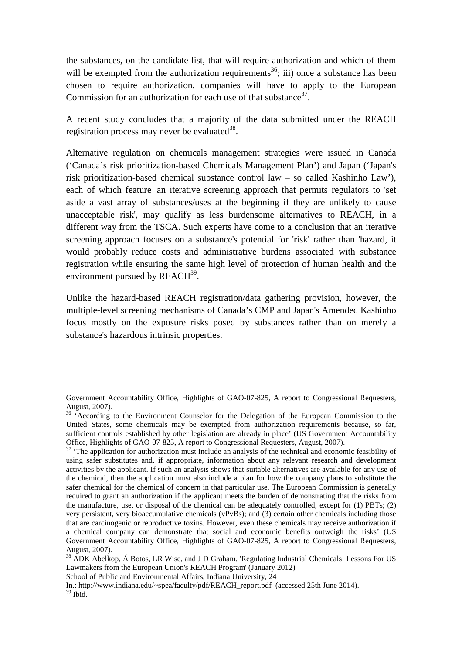the substances, on the candidate list, that will require authorization and which of them will be exempted from the authorization requirements<sup>36</sup>; iii) once a substance has been chosen to require authorization, companies will have to apply to the European Commission for an authorization for each use of that substance  $37$ .

A recent study concludes that a majority of the data submitted under the REACH registration process may never be evaluated  $38$ .

Alternative regulation on chemicals management strategies were issued in Canada ('Canada's risk prioritization-based Chemicals Management Plan') and Japan ('Japan's risk prioritization-based chemical substance control law – so called Kashinho Law'), each of which feature 'an iterative screening approach that permits regulators to 'set aside a vast array of substances/uses at the beginning if they are unlikely to cause unacceptable risk', may qualify as less burdensome alternatives to REACH, in a different way from the TSCA. Such experts have come to a conclusion that an iterative screening approach focuses on a substance's potential for 'risk' rather than 'hazard, it would probably reduce costs and administrative burdens associated with substance registration while ensuring the same high level of protection of human health and the environment pursued by  $REACH<sup>39</sup>$ .

Unlike the hazard-based REACH registration/data gathering provision, however, the multiple-level screening mechanisms of Canada's CMP and Japan's Amended Kashinho focus mostly on the exposure risks posed by substances rather than on merely a substance's hazardous intrinsic properties.

.

Government Accountability Office, Highlights of GAO-07-825, A report to Congressional Requesters, August, 2007).

<sup>&</sup>lt;sup>36</sup> 'According to the Environment Counselor for the Delegation of the European Commission to the United States, some chemicals may be exempted from authorization requirements because, so far, sufficient controls established by other legislation are already in place' (US Government Accountability Office, Highlights of GAO-07-825, A report to Congressional Requesters, August, 2007).

<sup>&</sup>lt;sup>37</sup> 'The application for authorization must include an analysis of the technical and economic feasibility of using safer substitutes and, if appropriate, information about any relevant research and development activities by the applicant. If such an analysis shows that suitable alternatives are available for any use of the chemical, then the application must also include a plan for how the company plans to substitute the safer chemical for the chemical of concern in that particular use. The European Commission is generally required to grant an authorization if the applicant meets the burden of demonstrating that the risks from the manufacture, use, or disposal of the chemical can be adequately controlled, except for (1) PBTs; (2) very persistent, very bioaccumulative chemicals (vPvBs); and (3) certain other chemicals including those that are carcinogenic or reproductive toxins. However, even these chemicals may receive authorization if a chemical company can demonstrate that social and economic benefits outweigh the risks' (US Government Accountability Office, Highlights of GAO-07-825, A report to Congressional Requesters, August, 2007).

<sup>&</sup>lt;sup>38</sup> ADK Abelkop, Á Botos, LR Wise, and J D Graham, 'Regulating Industrial Chemicals: Lessons For US Lawmakers from the European Union's REACH Program' (January 2012)

School of Public and Environmental Affairs, Indiana University, 24

In.: http://www.indiana.edu/~spea/faculty/pdf/REACH\_report.pdf (accessed 25th June 2014).  $39$  Ibid.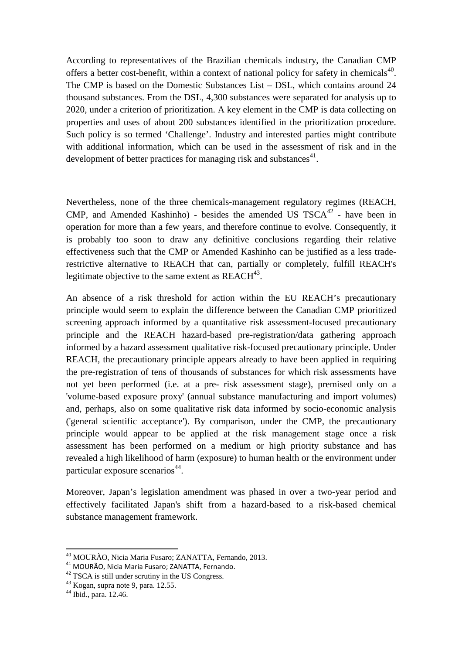According to representatives of the Brazilian chemicals industry, the Canadian CMP offers a better cost-benefit, within a context of national policy for safety in chemicals<sup>40</sup>. The CMP is based on the Domestic Substances List – DSL, which contains around 24 thousand substances. From the DSL, 4,300 substances were separated for analysis up to 2020, under a criterion of prioritization. A key element in the CMP is data collecting on properties and uses of about 200 substances identified in the prioritization procedure. Such policy is so termed 'Challenge'. Industry and interested parties might contribute with additional information, which can be used in the assessment of risk and in the development of better practices for managing risk and substances<sup>41</sup>.

Nevertheless, none of the three chemicals-management regulatory regimes (REACH, CMP, and Amended Kashinho) - besides the amended US  $TSCA^{42}$  - have been in operation for more than a few years, and therefore continue to evolve. Consequently, it is probably too soon to draw any definitive conclusions regarding their relative effectiveness such that the CMP or Amended Kashinho can be justified as a less traderestrictive alternative to REACH that can, partially or completely, fulfill REACH's legitimate objective to the same extent as  $REACH^{43}$ .

An absence of a risk threshold for action within the EU REACH's precautionary principle would seem to explain the difference between the Canadian CMP prioritized screening approach informed by a quantitative risk assessment-focused precautionary principle and the REACH hazard-based pre-registration/data gathering approach informed by a hazard assessment qualitative risk-focused precautionary principle. Under REACH, the precautionary principle appears already to have been applied in requiring the pre-registration of tens of thousands of substances for which risk assessments have not yet been performed (i.e. at a pre- risk assessment stage), premised only on a 'volume-based exposure proxy' (annual substance manufacturing and import volumes) and, perhaps, also on some qualitative risk data informed by socio-economic analysis ('general scientific acceptance'). By comparison, under the CMP, the precautionary principle would appear to be applied at the risk management stage once a risk assessment has been performed on a medium or high priority substance and has revealed a high likelihood of harm (exposure) to human health or the environment under particular exposure scenarios<sup>44</sup>.

Moreover, Japan's legislation amendment was phased in over a two-year period and effectively facilitated Japan's shift from a hazard-based to a risk-based chemical substance management framework.

<sup>40</sup> MOURÃO, Nicia Maria Fusaro; ZANATTA, Fernando, 2013.

<sup>41</sup> MOURÃO, Nicia Maria Fusaro; ZANATTA, Fernando.

<sup>&</sup>lt;sup>42</sup> TSCA is still under scrutiny in the US Congress.

<sup>43</sup> Kogan, supra note 9, para. 12.55.

<sup>44</sup> Ibid., para. 12.46.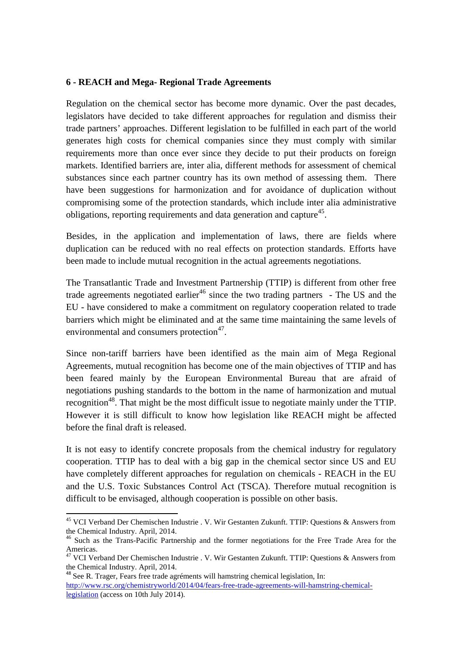#### **6 - REACH and Mega- Regional Trade Agreements**

Regulation on the chemical sector has become more dynamic. Over the past decades, legislators have decided to take different approaches for regulation and dismiss their trade partners' approaches. Different legislation to be fulfilled in each part of the world generates high costs for chemical companies since they must comply with similar requirements more than once ever since they decide to put their products on foreign markets. Identified barriers are, inter alia, different methods for assessment of chemical substances since each partner country has its own method of assessing them. There have been suggestions for harmonization and for avoidance of duplication without compromising some of the protection standards, which include inter alia administrative obligations, reporting requirements and data generation and capture<sup>45</sup>.

Besides, in the application and implementation of laws, there are fields where duplication can be reduced with no real effects on protection standards. Efforts have been made to include mutual recognition in the actual agreements negotiations.

The Transatlantic Trade and Investment Partnership (TTIP) is different from other free trade agreements negotiated earlier<sup>46</sup> since the two trading partners - The US and the EU - have considered to make a commitment on regulatory cooperation related to trade barriers which might be eliminated and at the same time maintaining the same levels of environmental and consumers protection $47$ .

Since non-tariff barriers have been identified as the main aim of Mega Regional Agreements, mutual recognition has become one of the main objectives of TTIP and has been feared mainly by the European Environmental Bureau that are afraid of negotiations pushing standards to the bottom in the name of harmonization and mutual recognition<sup>48</sup>. That might be the most difficult issue to negotiate mainly under the TTIP. However it is still difficult to know how legislation like REACH might be affected before the final draft is released.

It is not easy to identify concrete proposals from the chemical industry for regulatory cooperation. TTIP has to deal with a big gap in the chemical sector since US and EU have completely different approaches for regulation on chemicals - REACH in the EU and the U.S. Toxic Substances Control Act (TSCA). Therefore mutual recognition is difficult to be envisaged, although cooperation is possible on other basis.

<sup>45</sup> VCI Verband Der Chemischen Industrie . V. Wir Gestanten Zukunft. TTIP: Questions & Answers from the Chemical Industry. April, 2014.

<sup>46</sup> Such as the Trans-Pacific Partnership and the former negotiations for the Free Trade Area for the Americas.

<sup>&</sup>lt;sup>47</sup> VCI Verband Der Chemischen Industrie . V. Wir Gestanten Zukunft. TTIP: Questions & Answers from the Chemical Industry. April, 2014.

<sup>48</sup> See R. Trager, Fears free trade agréments will hamstring chemical legislation, In: http://www.rsc.org/chemistryworld/2014/04/fears-free-trade-agreements-will-hamstring-chemicallegislation (access on 10th July 2014).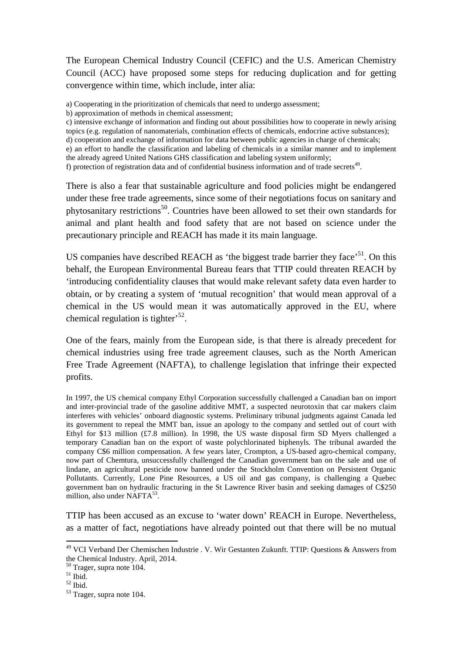The European Chemical Industry Council (CEFIC) and the U.S. American Chemistry Council (ACC) have proposed some steps for reducing duplication and for getting convergence within time, which include, inter alia:

a) Cooperating in the prioritization of chemicals that need to undergo assessment;

- b) approximation of methods in chemical assessment;
- c) intensive exchange of information and finding out about possibilities how to cooperate in newly arising topics (e.g. regulation of nanomaterials, combination effects of chemicals, endocrine active substances);

d) cooperation and exchange of information for data between public agencies in charge of chemicals;

e) an effort to handle the classification and labeling of chemicals in a similar manner and to implement the already agreed United Nations GHS classification and labeling system uniformly;

There is also a fear that sustainable agriculture and food policies might be endangered under these free trade agreements, since some of their negotiations focus on sanitary and phytosanitary restrictions<sup>50</sup>. Countries have been allowed to set their own standards for animal and plant health and food safety that are not based on science under the precautionary principle and REACH has made it its main language.

US companies have described REACH as 'the biggest trade barrier they face'<sup>51</sup>. On this behalf, the European Environmental Bureau fears that TTIP could threaten REACH by 'introducing confidentiality clauses that would make relevant safety data even harder to obtain, or by creating a system of 'mutual recognition' that would mean approval of a chemical in the US would mean it was automatically approved in the EU, where chemical regulation is tighter<sup> $52$ </sup>.

One of the fears, mainly from the European side, is that there is already precedent for chemical industries using free trade agreement clauses, such as the North American Free Trade Agreement (NAFTA), to challenge legislation that infringe their expected profits.

In 1997, the US chemical company Ethyl Corporation successfully challenged a Canadian ban on import and inter-provincial trade of the gasoline additive MMT, a suspected neurotoxin that car makers claim interferes with vehicles' onboard diagnostic systems. Preliminary tribunal judgments against Canada led its government to repeal the MMT ban, issue an apology to the company and settled out of court with Ethyl for \$13 million (£7.8 million). In 1998, the US waste disposal firm SD Myers challenged a temporary Canadian ban on the export of waste polychlorinated biphenyls. The tribunal awarded the company C\$6 million compensation. A few years later, Crompton, a US-based agro-chemical company, now part of Chemtura, unsuccessfully challenged the Canadian government ban on the sale and use of lindane, an agricultural pesticide now banned under the Stockholm Convention on Persistent Organic Pollutants. Currently, Lone Pine Resources, a US oil and gas company, is challenging a Quebec government ban on hydraulic fracturing in the St Lawrence River basin and seeking damages of C\$250 million, also under NAFTA<sup>53</sup>.

TTIP has been accused as an excuse to 'water down' REACH in Europe. Nevertheless, as a matter of fact, negotiations have already pointed out that there will be no mutual

f) protection of registration data and of confidential business information and of trade secrets<sup>49</sup>.

<sup>&</sup>lt;sup>49</sup> VCI Verband Der Chemischen Industrie . V. Wir Gestanten Zukunft. TTIP: Questions & Answers from the Chemical Industry. April, 2014.

<sup>50</sup> Trager, supra note 104.

 $51$  Ibid.

<sup>52</sup> Ibid.

<sup>53</sup> Trager, supra note 104.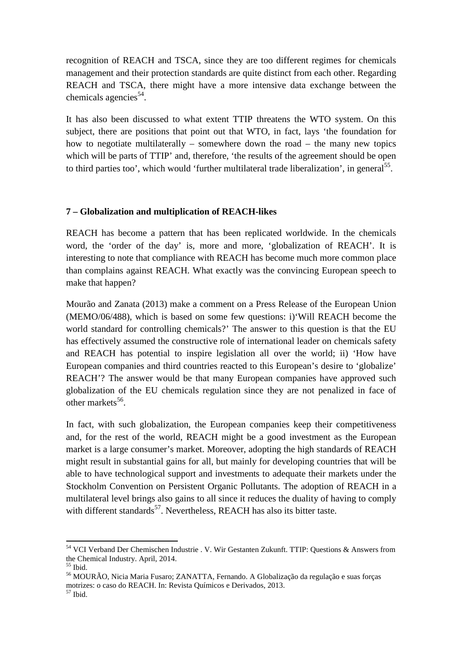recognition of REACH and TSCA, since they are too different regimes for chemicals management and their protection standards are quite distinct from each other. Regarding REACH and TSCA, there might have a more intensive data exchange between the chemicals agencies<sup>54</sup>.

It has also been discussed to what extent TTIP threatens the WTO system. On this subject, there are positions that point out that WTO, in fact, lays 'the foundation for how to negotiate multilaterally – somewhere down the road – the many new topics which will be parts of TTIP' and, therefore, 'the results of the agreement should be open to third parties too', which would 'further multilateral trade liberalization', in general<sup>55</sup>.

#### **7 – Globalization and multiplication of REACH-likes**

REACH has become a pattern that has been replicated worldwide. In the chemicals word, the 'order of the day' is, more and more, 'globalization of REACH'. It is interesting to note that compliance with REACH has become much more common place than complains against REACH. What exactly was the convincing European speech to make that happen?

Mourão and Zanata (2013) make a comment on a Press Release of the European Union (MEMO/06/488), which is based on some few questions: i)'Will REACH become the world standard for controlling chemicals?' The answer to this question is that the EU has effectively assumed the constructive role of international leader on chemicals safety and REACH has potential to inspire legislation all over the world; ii) 'How have European companies and third countries reacted to this European's desire to 'globalize' REACH'? The answer would be that many European companies have approved such globalization of the EU chemicals regulation since they are not penalized in face of other markets<sup>56</sup>.

In fact, with such globalization, the European companies keep their competitiveness and, for the rest of the world, REACH might be a good investment as the European market is a large consumer's market. Moreover, adopting the high standards of REACH might result in substantial gains for all, but mainly for developing countries that will be able to have technological support and investments to adequate their markets under the Stockholm Convention on Persistent Organic Pollutants. The adoption of REACH in a multilateral level brings also gains to all since it reduces the duality of having to comply with different standards<sup>57</sup>. Nevertheless, REACH has also its bitter taste.

<sup>&</sup>lt;sup>54</sup> VCI Verband Der Chemischen Industrie . V. Wir Gestanten Zukunft. TTIP: Questions & Answers from the Chemical Industry. April, 2014.

 $55$  Ibid.

<sup>56</sup> MOURÃO, Nicia Maria Fusaro; ZANATTA, Fernando. A Globalização da regulação e suas forças motrizes: o caso do REACH. In: Revista Químicos e Derivados, 2013.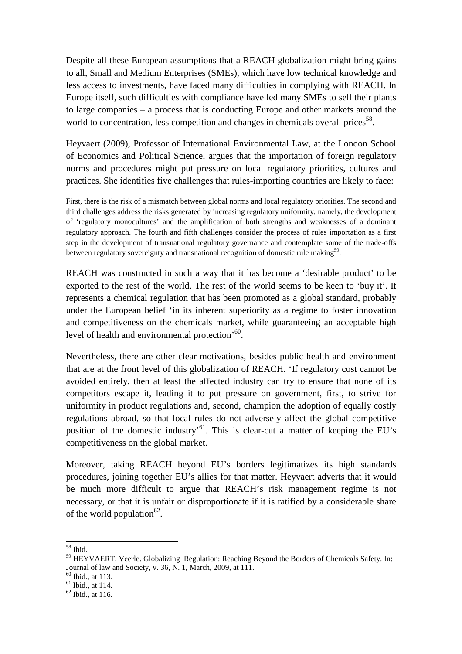Despite all these European assumptions that a REACH globalization might bring gains to all, Small and Medium Enterprises (SMEs), which have low technical knowledge and less access to investments, have faced many difficulties in complying with REACH. In Europe itself, such difficulties with compliance have led many SMEs to sell their plants to large companies – a process that is conducting Europe and other markets around the world to concentration, less competition and changes in chemicals overall prices<sup>58</sup>.

Heyvaert (2009), Professor of International Environmental Law, at the London School of Economics and Political Science, argues that the importation of foreign regulatory norms and procedures might put pressure on local regulatory priorities, cultures and practices. She identifies five challenges that rules-importing countries are likely to face:

First, there is the risk of a mismatch between global norms and local regulatory priorities. The second and third challenges address the risks generated by increasing regulatory uniformity, namely, the development of 'regulatory monocultures' and the amplification of both strengths and weaknesses of a dominant regulatory approach. The fourth and fifth challenges consider the process of rules importation as a first step in the development of transnational regulatory governance and contemplate some of the trade-offs between regulatory sovereignty and transnational recognition of domestic rule making<sup>59</sup>.

REACH was constructed in such a way that it has become a 'desirable product' to be exported to the rest of the world. The rest of the world seems to be keen to 'buy it'. It represents a chemical regulation that has been promoted as a global standard, probably under the European belief 'in its inherent superiority as a regime to foster innovation and competitiveness on the chemicals market, while guaranteeing an acceptable high level of health and environmental protection<sup>, 60</sup>.

Nevertheless, there are other clear motivations, besides public health and environment that are at the front level of this globalization of REACH. 'If regulatory cost cannot be avoided entirely, then at least the affected industry can try to ensure that none of its competitors escape it, leading it to put pressure on government, first, to strive for uniformity in product regulations and, second, champion the adoption of equally costly regulations abroad, so that local rules do not adversely affect the global competitive position of the domestic industry<sup> $61$ </sup>. This is clear-cut a matter of keeping the EU's competitiveness on the global market.

Moreover, taking REACH beyond EU's borders legitimatizes its high standards procedures, joining together EU's allies for that matter. Heyvaert adverts that it would be much more difficult to argue that REACH's risk management regime is not necessary, or that it is unfair or disproportionate if it is ratified by a considerable share of the world population<sup>62</sup>.

<sup>58</sup> Ibid.

<sup>&</sup>lt;sup>59</sup> HEYVAERT, Veerle. Globalizing Regulation: Reaching Beyond the Borders of Chemicals Safety. In: Journal of law and Society, v. 36, N. 1, March, 2009, at 111.

 $60$  Ibid., at 113.

 $<sup>61</sup>$  Ibid., at 114.</sup>

 $62$  Ibid., at 116.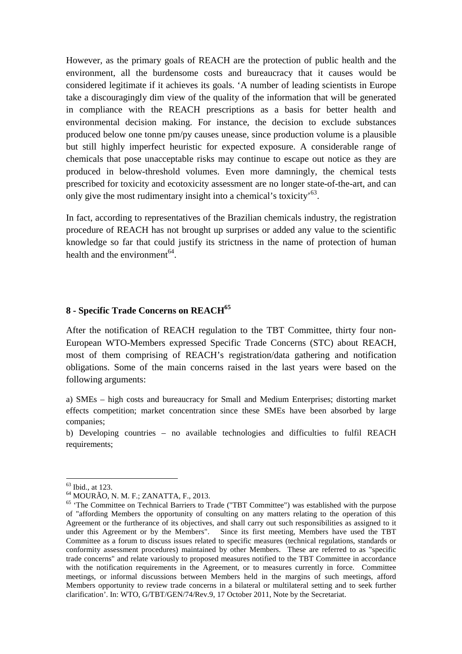However, as the primary goals of REACH are the protection of public health and the environment, all the burdensome costs and bureaucracy that it causes would be considered legitimate if it achieves its goals. 'A number of leading scientists in Europe take a discouragingly dim view of the quality of the information that will be generated in compliance with the REACH prescriptions as a basis for better health and environmental decision making. For instance, the decision to exclude substances produced below one tonne pm/py causes unease, since production volume is a plausible but still highly imperfect heuristic for expected exposure. A considerable range of chemicals that pose unacceptable risks may continue to escape out notice as they are produced in below-threshold volumes. Even more damningly, the chemical tests prescribed for toxicity and ecotoxicity assessment are no longer state-of-the-art, and can only give the most rudimentary insight into a chemical's toxicity<sup> $63$ </sup>.

In fact, according to representatives of the Brazilian chemicals industry, the registration procedure of REACH has not brought up surprises or added any value to the scientific knowledge so far that could justify its strictness in the name of protection of human health and the environment<sup>64</sup>.

#### **8 - Specific Trade Concerns on REACH<sup>65</sup>**

After the notification of REACH regulation to the TBT Committee, thirty four non-European WTO-Members expressed Specific Trade Concerns (STC) about REACH, most of them comprising of REACH's registration/data gathering and notification obligations. Some of the main concerns raised in the last years were based on the following arguments:

a) SMEs – high costs and bureaucracy for Small and Medium Enterprises; distorting market effects competition; market concentration since these SMEs have been absorbed by large companies;

b) Developing countries – no available technologies and difficulties to fulfil REACH requirements;

<sup>63</sup> Ibid., at 123.

<sup>64</sup> MOURÃO, N. M. F.; ZANATTA, F., 2013.

<sup>&</sup>lt;sup>65</sup> 'The Committee on Technical Barriers to Trade ("TBT Committee") was established with the purpose of "affording Members the opportunity of consulting on any matters relating to the operation of this Agreement or the furtherance of its objectives, and shall carry out such responsibilities as assigned to it under this Agreement or by the Members". Since its first meeting, Members have used the TBT Committee as a forum to discuss issues related to specific measures (technical regulations, standards or conformity assessment procedures) maintained by other Members. These are referred to as "specific trade concerns" and relate variously to proposed measures notified to the TBT Committee in accordance with the notification requirements in the Agreement, or to measures currently in force. Committee meetings, or informal discussions between Members held in the margins of such meetings, afford Members opportunity to review trade concerns in a bilateral or multilateral setting and to seek further clarification'. In: WTO, G/TBT/GEN/74/Rev.9, 17 October 2011, Note by the Secretariat.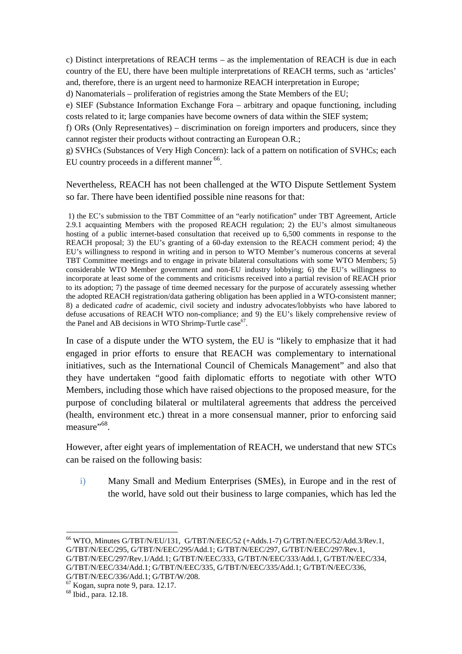c) Distinct interpretations of REACH terms – as the implementation of REACH is due in each country of the EU, there have been multiple interpretations of REACH terms, such as 'articles' and, therefore, there is an urgent need to harmonize REACH interpretation in Europe;

d) Nanomaterials – proliferation of registries among the State Members of the EU;

e) SIEF (Substance Information Exchange Fora – arbitrary and opaque functioning, including costs related to it; large companies have become owners of data within the SIEF system;

f) ORs (Only Representatives) – discrimination on foreign importers and producers, since they cannot register their products without contracting an European O.R.;

g) SVHCs (Substances of Very High Concern): lack of a pattern on notification of SVHCs; each EU country proceeds in a different manner <sup>66</sup>.

Nevertheless, REACH has not been challenged at the WTO Dispute Settlement System so far. There have been identified possible nine reasons for that:

 1) the EC's submission to the TBT Committee of an "early notification" under TBT Agreement, Article 2.9.1 acquainting Members with the proposed REACH regulation; 2) the EU's almost simultaneous hosting of a public internet-based consultation that received up to 6,500 comments in response to the REACH proposal; 3) the EU's granting of a 60-day extension to the REACH comment period; 4) the EU's willingness to respond in writing and in person to WTO Member's numerous concerns at several TBT Committee meetings and to engage in private bilateral consultations with some WTO Members; 5) considerable WTO Member government and non-EU industry lobbying; 6) the EU's willingness to incorporate at least some of the comments and criticisms received into a partial revision of REACH prior to its adoption; 7) the passage of time deemed necessary for the purpose of accurately assessing whether the adopted REACH registration/data gathering obligation has been applied in a WTO-consistent manner; 8) a dedicated *cadre* of academic, civil society and industry advocates/lobbyists who have labored to defuse accusations of REACH WTO non-compliance; and 9) the EU's likely comprehensive review of the Panel and AB decisions in WTO Shrimp-Turtle case<sup>67</sup>.

In case of a dispute under the WTO system, the EU is "likely to emphasize that it had engaged in prior efforts to ensure that REACH was complementary to international initiatives, such as the International Council of Chemicals Management" and also that they have undertaken "good faith diplomatic efforts to negotiate with other WTO Members, including those which have raised objections to the proposed measure, for the purpose of concluding bilateral or multilateral agreements that address the perceived (health, environment etc.) threat in a more consensual manner, prior to enforcing said measure"<sup>68</sup>.

However, after eight years of implementation of REACH, we understand that new STCs can be raised on the following basis:

i) Many Small and Medium Enterprises (SMEs), in Europe and in the rest of the world, have sold out their business to large companies, which has led the

<sup>66</sup> WTO, Minutes G/TBT/N/EU/131, G/TBT/N/EEC/52 (+Adds.1-7) G/TBT/N/EEC/52/Add.3/Rev.1, G/TBT/N/EEC/295, G/TBT/N/EEC/295/Add.1; G/TBT/N/EEC/297, G/TBT/N/EEC/297/Rev.1, G/TBT/N/EEC/297/Rev.1/Add.1; G/TBT/N/EEC/333, G/TBT/N/EEC/333/Add.1, G/TBT/N/EEC/334,

G/TBT/N/EEC/334/Add.1; G/TBT/N/EEC/335, G/TBT/N/EEC/335/Add.1; G/TBT/N/EEC/336,

G/TBT/N/EEC/336/Add.1; G/TBT/W/208.

 $67$  Kogan, supra note 9, para. 12.17.

<sup>68</sup> Ibid., para. 12.18.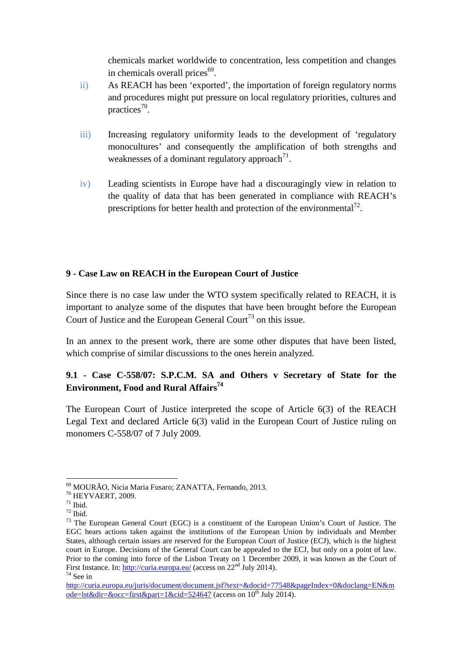chemicals market worldwide to concentration, less competition and changes in chemicals overall prices<sup>69</sup>.

- ii) As REACH has been 'exported', the importation of foreign regulatory norms and procedures might put pressure on local regulatory priorities, cultures and practices<sup>70</sup>.
- iii) Increasing regulatory uniformity leads to the development of 'regulatory monocultures' and consequently the amplification of both strengths and weaknesses of a dominant regulatory approach $^{71}$ .
- iv) Leading scientists in Europe have had a discouragingly view in relation to the quality of data that has been generated in compliance with REACH's prescriptions for better health and protection of the environmental<sup>72</sup>.

## **9 - Case Law on REACH in the European Court of Justice**

Since there is no case law under the WTO system specifically related to REACH, it is important to analyze some of the disputes that have been brought before the European Court of Justice and the European General Court<sup>73</sup> on this issue.

In an annex to the present work, there are some other disputes that have been listed, which comprise of similar discussions to the ones herein analyzed.

# **9.1 - Case C-558/07: S.P.C.M. SA and Others v Secretary of State for the Environment, Food and Rural Affairs<sup>74</sup>**

The European Court of Justice interpreted the scope of Article 6(3) of the REACH Legal Text and declared Article 6(3) valid in the European Court of Justice ruling on monomers C-558/07 of 7 July 2009.

<sup>69</sup> MOURÃO, Nicia Maria Fusaro; ZANATTA, Fernando, 2013.

<sup>70</sup> HEYVAERT, 2009.

 $^{71}$  Ibid.

 $72$  Ibid.

<sup>&</sup>lt;sup>73</sup> The European General Court (EGC) is a constituent of the European Union's Court of Justice. The EGC hears actions taken against the institutions of the European Union by individuals and Member States, although certain issues are reserved for the European Court of Justice (ECJ), which is the highest court in Europe. Decisions of the General Court can be appealed to the ECJ, but only on a point of law. Prior to the coming into force of the Lisbon Treaty on 1 December 2009, it was known as the Court of First Instance. In: http://curia.europa.eu/ (access on 22<sup>nd</sup> July 2014).  $74$  See in

http://curia.europa.eu/juris/document/document.jsf?text=&docid=77548&pageIndex=0&doclang=EN&m  $ode=$ lst $&$ dir $=&$ occ $=$ first $&$ part $=1&&$ cid $=$ 524647 (access on 10<sup>th</sup> July 2014).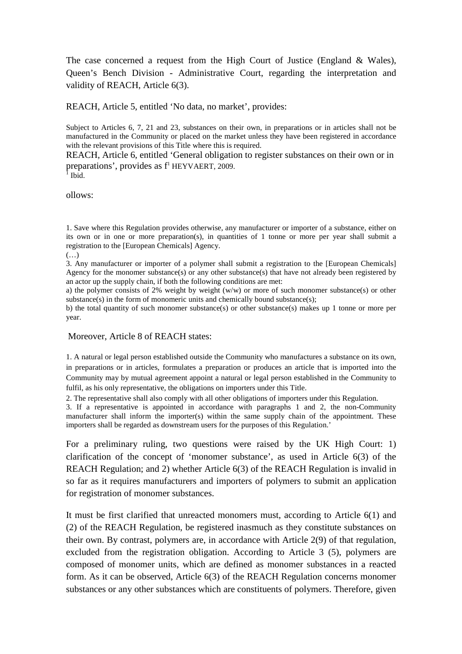The case concerned a request from the High Court of Justice (England & Wales), Queen's Bench Division - Administrative Court, regarding the interpretation and validity of REACH, Article 6(3).

REACH, Article 5, entitled 'No data, no market', provides:

Subject to Articles 6, 7, 21 and 23, substances on their own, in preparations or in articles shall not be manufactured in the Community or placed on the market unless they have been registered in accordance with the relevant provisions of this Title where this is required.

REACH, Article 6, entitled 'General obligation to register substances on their own or in preparations', provides as f<sup>1</sup> HEYVAERT, 2009.

 $\overline{1}$  Ibid.

ollows:

1. Save where this Regulation provides otherwise, any manufacturer or importer of a substance, either on its own or in one or more preparation(s), in quantities of 1 tonne or more per year shall submit a registration to the [European Chemicals] Agency.

(…)

3. Any manufacturer or importer of a polymer shall submit a registration to the [European Chemicals] Agency for the monomer substance(s) or any other substance(s) that have not already been registered by an actor up the supply chain, if both the following conditions are met:

a) the polymer consists of 2% weight by weight (w/w) or more of such monomer substance(s) or other substance(s) in the form of monomeric units and chemically bound substance(s);

b) the total quantity of such monomer substance(s) or other substance(s) makes up 1 tonne or more per year.

#### Moreover, Article 8 of REACH states:

1. A natural or legal person established outside the Community who manufactures a substance on its own, in preparations or in articles, formulates a preparation or produces an article that is imported into the Community may by mutual agreement appoint a natural or legal person established in the Community to fulfil, as his only representative, the obligations on importers under this Title.

2. The representative shall also comply with all other obligations of importers under this Regulation.

3. If a representative is appointed in accordance with paragraphs 1 and 2, the non-Community manufacturer shall inform the importer(s) within the same supply chain of the appointment. These importers shall be regarded as downstream users for the purposes of this Regulation.'

For a preliminary ruling, two questions were raised by the UK High Court: 1) clarification of the concept of 'monomer substance', as used in Article 6(3) of the REACH Regulation; and 2) whether Article 6(3) of the REACH Regulation is invalid in so far as it requires manufacturers and importers of polymers to submit an application for registration of monomer substances.

It must be first clarified that unreacted monomers must, according to Article 6(1) and (2) of the REACH Regulation, be registered inasmuch as they constitute substances on their own. By contrast, polymers are, in accordance with Article 2(9) of that regulation, excluded from the registration obligation. According to Article 3 (5), polymers are composed of monomer units, which are defined as monomer substances in a reacted form. As it can be observed, Article 6(3) of the REACH Regulation concerns monomer substances or any other substances which are constituents of polymers. Therefore, given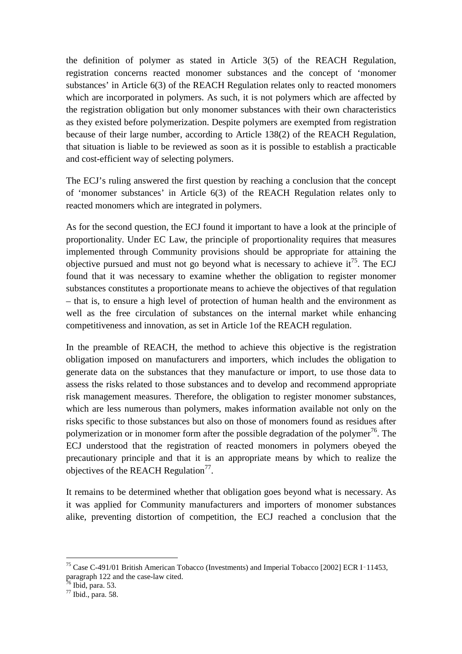the definition of polymer as stated in Article 3(5) of the REACH Regulation, registration concerns reacted monomer substances and the concept of 'monomer substances' in Article 6(3) of the REACH Regulation relates only to reacted monomers which are incorporated in polymers. As such, it is not polymers which are affected by the registration obligation but only monomer substances with their own characteristics as they existed before polymerization. Despite polymers are exempted from registration because of their large number, according to Article 138(2) of the REACH Regulation, that situation is liable to be reviewed as soon as it is possible to establish a practicable and cost-efficient way of selecting polymers.

The ECJ's ruling answered the first question by reaching a conclusion that the concept of 'monomer substances' in Article 6(3) of the REACH Regulation relates only to reacted monomers which are integrated in polymers.

As for the second question, the ECJ found it important to have a look at the principle of proportionality. Under EC Law, the principle of proportionality requires that measures implemented through Community provisions should be appropriate for attaining the objective pursued and must not go beyond what is necessary to achieve it<sup>75</sup>. The ECJ found that it was necessary to examine whether the obligation to register monomer substances constitutes a proportionate means to achieve the objectives of that regulation – that is, to ensure a high level of protection of human health and the environment as well as the free circulation of substances on the internal market while enhancing competitiveness and innovation, as set in Article 1of the REACH regulation.

In the preamble of REACH, the method to achieve this objective is the registration obligation imposed on manufacturers and importers, which includes the obligation to generate data on the substances that they manufacture or import, to use those data to assess the risks related to those substances and to develop and recommend appropriate risk management measures. Therefore, the obligation to register monomer substances, which are less numerous than polymers, makes information available not only on the risks specific to those substances but also on those of monomers found as residues after polymerization or in monomer form after the possible degradation of the polymer<sup>76</sup>. The ECJ understood that the registration of reacted monomers in polymers obeyed the precautionary principle and that it is an appropriate means by which to realize the objectives of the REACH Regulation $^{77}$ .

It remains to be determined whether that obligation goes beyond what is necessary. As it was applied for Community manufacturers and importers of monomer substances alike, preventing distortion of competition, the ECJ reached a conclusion that the

<sup>75</sup> Case C-491/01 British American Tobacco (Investments) and Imperial Tobacco [2002] ECR I‑11453, paragraph 122 and the case-law cited.

 $76$  Ibid, para. 53.

<sup>77</sup> Ibid., para. 58.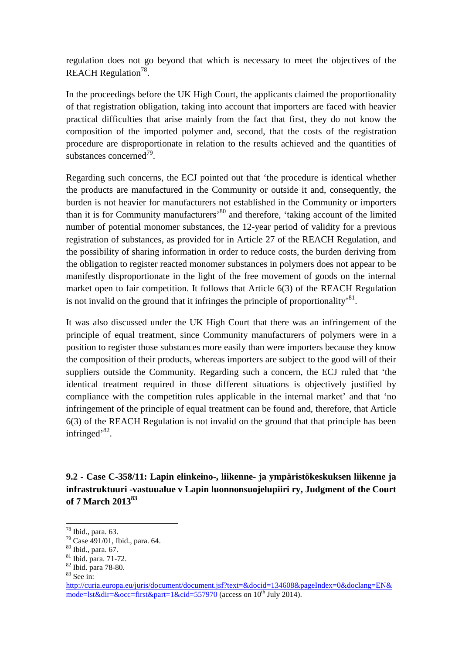regulation does not go beyond that which is necessary to meet the objectives of the REACH Regulation $^{78}$ .

In the proceedings before the UK High Court, the applicants claimed the proportionality of that registration obligation, taking into account that importers are faced with heavier practical difficulties that arise mainly from the fact that first, they do not know the composition of the imported polymer and, second, that the costs of the registration procedure are disproportionate in relation to the results achieved and the quantities of substances concerned<sup>79</sup>.

Regarding such concerns, the ECJ pointed out that 'the procedure is identical whether the products are manufactured in the Community or outside it and, consequently, the burden is not heavier for manufacturers not established in the Community or importers than it is for Community manufacturers'<sup>80</sup> and therefore, 'taking account of the limited number of potential monomer substances, the 12-year period of validity for a previous registration of substances, as provided for in Article 27 of the REACH Regulation, and the possibility of sharing information in order to reduce costs, the burden deriving from the obligation to register reacted monomer substances in polymers does not appear to be manifestly disproportionate in the light of the free movement of goods on the internal market open to fair competition. It follows that Article 6(3) of the REACH Regulation is not invalid on the ground that it infringes the principle of proportionality<sup>81</sup>.

It was also discussed under the UK High Court that there was an infringement of the principle of equal treatment, since Community manufacturers of polymers were in a position to register those substances more easily than were importers because they know the composition of their products, whereas importers are subject to the good will of their suppliers outside the Community. Regarding such a concern, the ECJ ruled that 'the identical treatment required in those different situations is objectively justified by compliance with the competition rules applicable in the internal market' and that 'no infringement of the principle of equal treatment can be found and, therefore, that Article 6(3) of the REACH Regulation is not invalid on the ground that that principle has been infringed'<sup>82</sup>.

**9.2 - Case C-358/11: Lapin elinkeino-, liikenne- ja ympäristökeskuksen liikenne ja infrastruktuuri -vastuualue v Lapin luonnonsuojelupiiri ry, Judgment of the Court of 7 March 2013<sup>83</sup>**

<sup>78</sup> Ibid., para. 63.

<sup>79</sup> Case 491/01, Ibid., para. 64.

<sup>80</sup> Ibid., para. 67.

<sup>81</sup> Ibid. para. 71-72.

<sup>82</sup> Ibid. para 78-80.

 $83$  See in:

http://curia.europa.eu/juris/document/document.jsf?text=&docid=134608&pageIndex=0&doclang=EN& mode=lst&dir=&occ=first&part=1&cid=557970 (access on  $10^{th}$  July 2014).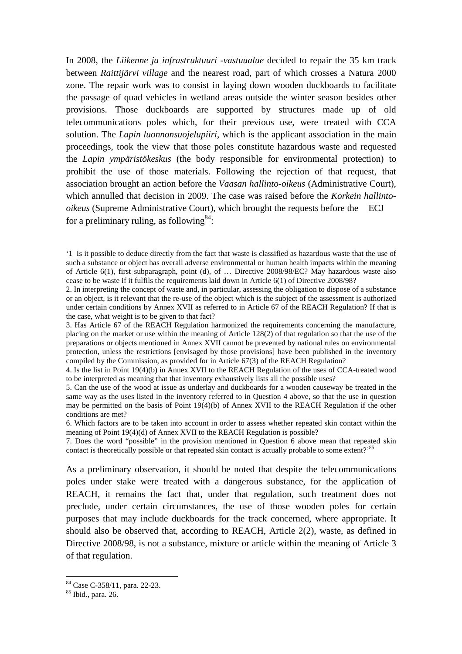In 2008, the *Liikenne ja infrastruktuuri -vastuualue* decided to repair the 35 km track between *Raittijärvi village* and the nearest road, part of which crosses a Natura 2000 zone. The repair work was to consist in laying down wooden duckboards to facilitate the passage of quad vehicles in wetland areas outside the winter season besides other provisions. Those duckboards are supported by structures made up of old telecommunications poles which, for their previous use, were treated with CCA solution. The *Lapin luonnonsuojelupiiri*, which is the applicant association in the main proceedings, took the view that those poles constitute hazardous waste and requested the *Lapin ympäristökeskus* (the body responsible for environmental protection) to prohibit the use of those materials. Following the rejection of that request, that association brought an action before the *Vaasan hallinto-oikeus* (Administrative Court), which annulled that decision in 2009. The case was raised before the *Korkein hallintooikeus* (Supreme Administrative Court), which brought the requests before the ECJ for a preliminary ruling, as following  $84$ :

4. Is the list in Point 19(4)(b) in Annex XVII to the REACH Regulation of the uses of CCA-treated wood to be interpreted as meaning that that inventory exhaustively lists all the possible uses?

5. Can the use of the wood at issue as underlay and duckboards for a wooden causeway be treated in the same way as the uses listed in the inventory referred to in Question 4 above, so that the use in question may be permitted on the basis of Point 19(4)(b) of Annex XVII to the REACH Regulation if the other conditions are met?

6. Which factors are to be taken into account in order to assess whether repeated skin contact within the meaning of Point 19(4)(d) of Annex XVII to the REACH Regulation is possible?

7. Does the word "possible" in the provision mentioned in Question 6 above mean that repeated skin contact is theoretically possible or that repeated skin contact is actually probable to some extent?<sup>85</sup>

As a preliminary observation, it should be noted that despite the telecommunications poles under stake were treated with a dangerous substance, for the application of REACH, it remains the fact that, under that regulation, such treatment does not preclude, under certain circumstances, the use of those wooden poles for certain purposes that may include duckboards for the track concerned, where appropriate. It should also be observed that, according to REACH, Article 2(2), waste, as defined in Directive 2008/98, is not a substance, mixture or article within the meaning of Article 3 of that regulation.

<sup>&#</sup>x27;1 Is it possible to deduce directly from the fact that waste is classified as hazardous waste that the use of such a substance or object has overall adverse environmental or human health impacts within the meaning of Article 6(1), first subparagraph, point (d), of … Directive 2008/98/EC? May hazardous waste also cease to be waste if it fulfils the requirements laid down in Article 6(1) of Directive 2008/98?

<sup>2.</sup> In interpreting the concept of waste and, in particular, assessing the obligation to dispose of a substance or an object, is it relevant that the re-use of the object which is the subject of the assessment is authorized under certain conditions by Annex XVII as referred to in Article 67 of the REACH Regulation? If that is the case, what weight is to be given to that fact?

<sup>3.</sup> Has Article 67 of the REACH Regulation harmonized the requirements concerning the manufacture, placing on the market or use within the meaning of Article 128(2) of that regulation so that the use of the preparations or objects mentioned in Annex XVII cannot be prevented by national rules on environmental protection, unless the restrictions [envisaged by those provisions] have been published in the inventory compiled by the Commission, as provided for in Article 67(3) of the REACH Regulation?

<sup>84</sup> Case C-358/11, para. 22-23.

 $85$  Ibid., para. 26.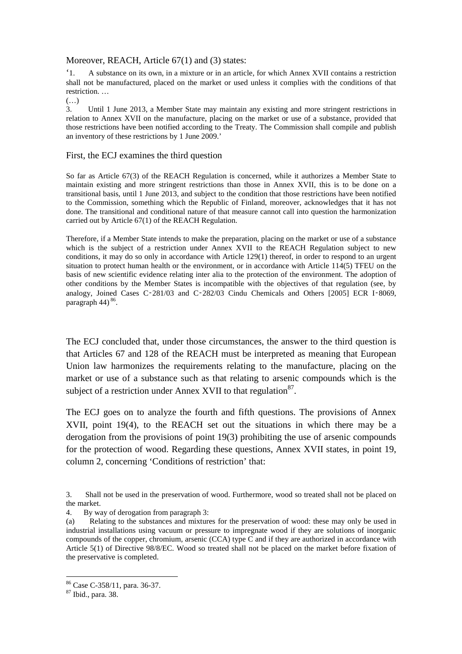#### Moreover, REACH, Article 67(1) and (3) states:

'1. A substance on its own, in a mixture or in an article, for which Annex XVII contains a restriction shall not be manufactured, placed on the market or used unless it complies with the conditions of that restriction. …

(…)

3. Until 1 June 2013, a Member State may maintain any existing and more stringent restrictions in relation to Annex XVII on the manufacture, placing on the market or use of a substance, provided that those restrictions have been notified according to the Treaty. The Commission shall compile and publish an inventory of these restrictions by 1 June 2009.'

#### First, the ECJ examines the third question

So far as Article 67(3) of the REACH Regulation is concerned, while it authorizes a Member State to maintain existing and more stringent restrictions than those in Annex XVII, this is to be done on a transitional basis, until 1 June 2013, and subject to the condition that those restrictions have been notified to the Commission, something which the Republic of Finland, moreover, acknowledges that it has not done. The transitional and conditional nature of that measure cannot call into question the harmonization carried out by Article 67(1) of the REACH Regulation.

Therefore, if a Member State intends to make the preparation, placing on the market or use of a substance which is the subject of a restriction under Annex XVII to the REACH Regulation subject to new conditions, it may do so only in accordance with Article 129(1) thereof, in order to respond to an urgent situation to protect human health or the environment, or in accordance with Article 114(5) TFEU on the basis of new scientific evidence relating inter alia to the protection of the environment. The adoption of other conditions by the Member States is incompatible with the objectives of that regulation (see, by analogy, Joined Cases C-281/03 and C-282/03 Cindu Chemicals and Others [2005] ECR I-8069, paragraph 44)<sup>86</sup>.

The ECJ concluded that, under those circumstances, the answer to the third question is that Articles 67 and 128 of the REACH must be interpreted as meaning that European Union law harmonizes the requirements relating to the manufacture, placing on the market or use of a substance such as that relating to arsenic compounds which is the subject of a restriction under Annex XVII to that regulation $^{87}$ .

The ECJ goes on to analyze the fourth and fifth questions. The provisions of Annex XVII, point 19(4), to the REACH set out the situations in which there may be a derogation from the provisions of point 19(3) prohibiting the use of arsenic compounds for the protection of wood. Regarding these questions, Annex XVII states, in point 19, column 2, concerning 'Conditions of restriction' that:

4. By way of derogation from paragraph 3:

<sup>3.</sup> Shall not be used in the preservation of wood. Furthermore, wood so treated shall not be placed on the market.

<sup>(</sup>a) Relating to the substances and mixtures for the preservation of wood: these may only be used in industrial installations using vacuum or pressure to impregnate wood if they are solutions of inorganic compounds of the copper, chromium, arsenic (CCA) type C and if they are authorized in accordance with Article 5(1) of Directive 98/8/EC. Wood so treated shall not be placed on the market before fixation of the preservative is completed.

<sup>86</sup> Case C-358/11, para. 36-37.

<sup>&</sup>lt;sup>87</sup> Ibid., para. 38.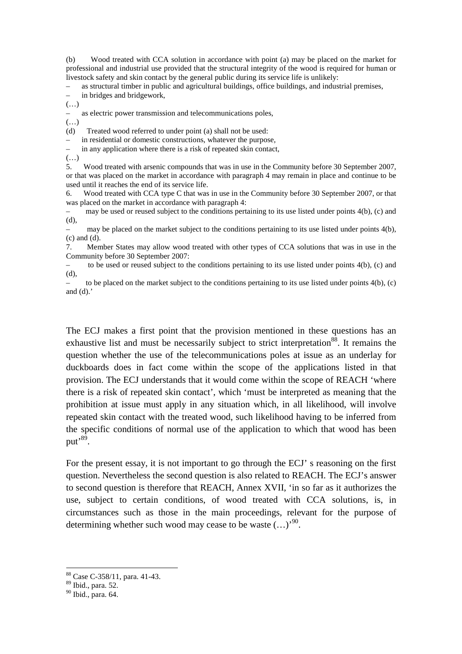(b) Wood treated with CCA solution in accordance with point (a) may be placed on the market for professional and industrial use provided that the structural integrity of the wood is required for human or livestock safety and skin contact by the general public during its service life is unlikely:

– as structural timber in public and agricultural buildings, office buildings, and industrial premises,

in bridges and bridgework,

(…)

– as electric power transmission and telecommunications poles,

(…)

(d) Treated wood referred to under point (a) shall not be used:

– in residential or domestic constructions, whatever the purpose,

in any application where there is a risk of repeated skin contact,

 $\left( \ldots \right)$ 

5. Wood treated with arsenic compounds that was in use in the Community before 30 September 2007, or that was placed on the market in accordance with paragraph 4 may remain in place and continue to be used until it reaches the end of its service life.

6. Wood treated with CCA type C that was in use in the Community before 30 September 2007, or that was placed on the market in accordance with paragraph 4:

may be used or reused subject to the conditions pertaining to its use listed under points  $4(b)$ , (c) and (d),

– may be placed on the market subject to the conditions pertaining to its use listed under points 4(b), (c) and (d).

7. Member States may allow wood treated with other types of CCA solutions that was in use in the Community before 30 September 2007:

– to be used or reused subject to the conditions pertaining to its use listed under points 4(b), (c) and (d),

to be placed on the market subject to the conditions pertaining to its use listed under points  $4(b)$ , (c) and  $(d)$ .'

The ECJ makes a first point that the provision mentioned in these questions has an exhaustive list and must be necessarily subject to strict interpretation<sup>88</sup>. It remains the question whether the use of the telecommunications poles at issue as an underlay for duckboards does in fact come within the scope of the applications listed in that provision. The ECJ understands that it would come within the scope of REACH 'where there is a risk of repeated skin contact', which 'must be interpreted as meaning that the prohibition at issue must apply in any situation which, in all likelihood, will involve repeated skin contact with the treated wood, such likelihood having to be inferred from the specific conditions of normal use of the application to which that wood has been put'<sup>89</sup>.

For the present essay, it is not important to go through the ECJ' s reasoning on the first question. Nevertheless the second question is also related to REACH. The ECJ's answer to second question is therefore that REACH, Annex XVII, 'in so far as it authorizes the use, subject to certain conditions, of wood treated with CCA solutions, is, in circumstances such as those in the main proceedings, relevant for the purpose of determining whether such wood may cease to be waste  $(...)$ <sup>90</sup>.

<sup>88</sup> Case C-358/11, para. 41-43.

<sup>89</sup> Ibid., para. 52.

<sup>90</sup> Ibid., para. 64.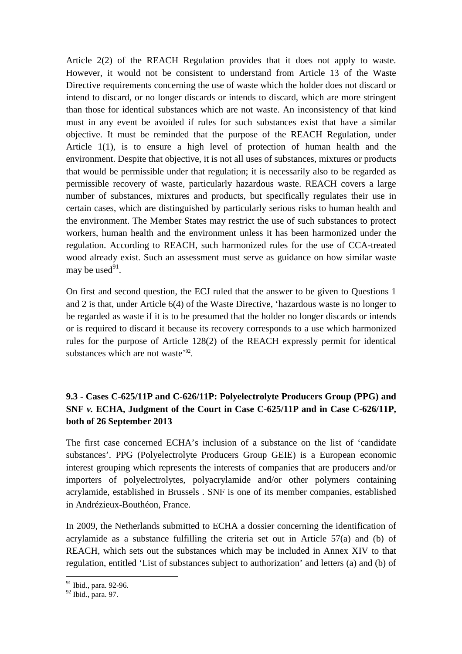Article 2(2) of the REACH Regulation provides that it does not apply to waste. However, it would not be consistent to understand from Article 13 of the Waste Directive requirements concerning the use of waste which the holder does not discard or intend to discard, or no longer discards or intends to discard, which are more stringent than those for identical substances which are not waste. An inconsistency of that kind must in any event be avoided if rules for such substances exist that have a similar objective. It must be reminded that the purpose of the REACH Regulation, under Article 1(1), is to ensure a high level of protection of human health and the environment. Despite that objective, it is not all uses of substances, mixtures or products that would be permissible under that regulation; it is necessarily also to be regarded as permissible recovery of waste, particularly hazardous waste. REACH covers a large number of substances, mixtures and products, but specifically regulates their use in certain cases, which are distinguished by particularly serious risks to human health and the environment. The Member States may restrict the use of such substances to protect workers, human health and the environment unless it has been harmonized under the regulation. According to REACH, such harmonized rules for the use of CCA-treated wood already exist. Such an assessment must serve as guidance on how similar waste may be used $91$ .

On first and second question, the ECJ ruled that the answer to be given to Questions 1 and 2 is that, under Article 6(4) of the Waste Directive, 'hazardous waste is no longer to be regarded as waste if it is to be presumed that the holder no longer discards or intends or is required to discard it because its recovery corresponds to a use which harmonized rules for the purpose of Article 128(2) of the REACH expressly permit for identical substances which are not waste<sup>'92</sup>.

# **9.3 - Cases C-625/11P and C-626/11P: Polyelectrolyte Producers Group (PPG) and SNF** *v.* **ECHA, Judgment of the Court in Case C-625/11P and in Case C-626/11P, both of 26 September 2013**

The first case concerned ECHA's inclusion of a substance on the list of 'candidate substances'. PPG (Polyelectrolyte Producers Group GEIE) is a European economic interest grouping which represents the interests of companies that are producers and/or importers of polyelectrolytes, polyacrylamide and/or other polymers containing acrylamide, established in Brussels . SNF is one of its member companies, established in Andrézieux-Bouthéon, France.

In 2009, the Netherlands submitted to ECHA a dossier concerning the identification of acrylamide as a substance fulfilling the criteria set out in Article 57(a) and (b) of REACH, which sets out the substances which may be included in Annex XIV to that regulation, entitled 'List of substances subject to authorization' and letters (a) and (b) of

<sup>&</sup>lt;sup>91</sup> Ibid., para. 92-96.

<sup>92</sup> Ibid., para. 97.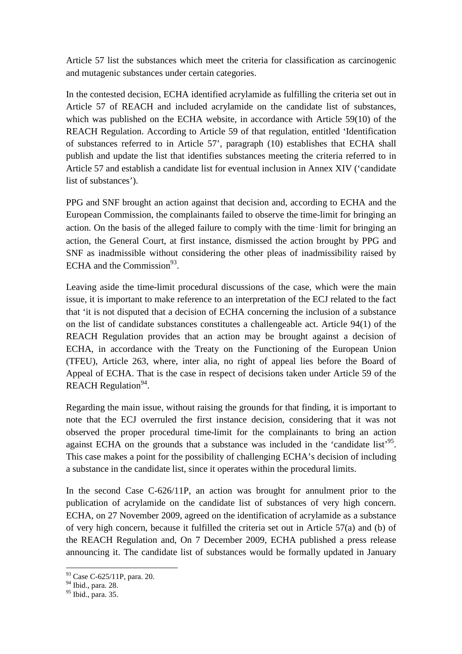Article 57 list the substances which meet the criteria for classification as carcinogenic and mutagenic substances under certain categories.

In the contested decision, ECHA identified acrylamide as fulfilling the criteria set out in Article 57 of REACH and included acrylamide on the candidate list of substances, which was published on the ECHA website, in accordance with Article 59(10) of the REACH Regulation. According to Article 59 of that regulation, entitled 'Identification of substances referred to in Article 57', paragraph (10) establishes that ECHA shall publish and update the list that identifies substances meeting the criteria referred to in Article 57 and establish a candidate list for eventual inclusion in Annex XIV ('candidate list of substances').

PPG and SNF brought an action against that decision and, according to ECHA and the European Commission, the complainants failed to observe the time-limit for bringing an action. On the basis of the alleged failure to comply with the time‑limit for bringing an action, the General Court, at first instance, dismissed the action brought by PPG and SNF as inadmissible without considering the other pleas of inadmissibility raised by ECHA and the Commission $^{93}$ .

Leaving aside the time-limit procedural discussions of the case, which were the main issue, it is important to make reference to an interpretation of the ECJ related to the fact that 'it is not disputed that a decision of ECHA concerning the inclusion of a substance on the list of candidate substances constitutes a challengeable act. Article 94(1) of the REACH Regulation provides that an action may be brought against a decision of ECHA, in accordance with the Treaty on the Functioning of the European Union (TFEU), Article 263, where, inter alia, no right of appeal lies before the Board of Appeal of ECHA. That is the case in respect of decisions taken under Article 59 of the REACH Regulation<sup>94</sup>.

Regarding the main issue, without raising the grounds for that finding, it is important to note that the ECJ overruled the first instance decision, considering that it was not observed the proper procedural time-limit for the complainants to bring an action against ECHA on the grounds that a substance was included in the 'candidate list'<sup>95</sup>. This case makes a point for the possibility of challenging ECHA's decision of including a substance in the candidate list, since it operates within the procedural limits.

In the second Case C-626/11P, an action was brought for annulment prior to the publication of acrylamide on the candidate list of substances of very high concern. ECHA, on 27 November 2009, agreed on the identification of acrylamide as a substance of very high concern, because it fulfilled the criteria set out in Article 57(a) and (b) of the REACH Regulation and, On 7 December 2009, ECHA published a press release announcing it. The candidate list of substances would be formally updated in January

<sup>93</sup> Case C-625/11P, para. 20.

<sup>94</sup> Ibid., para. 28.

<sup>95</sup> Ibid., para. 35.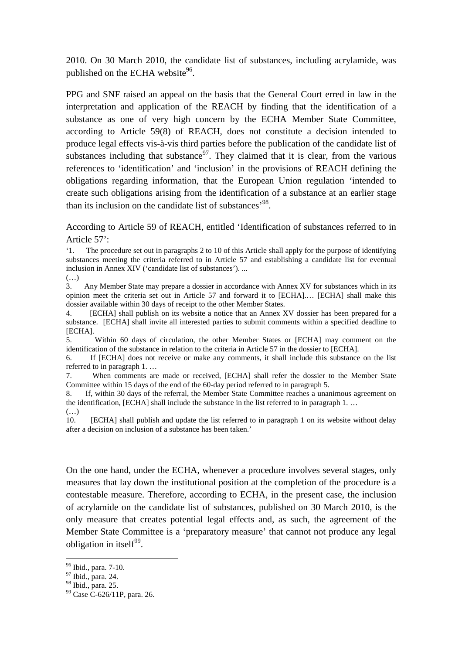2010. On 30 March 2010, the candidate list of substances, including acrylamide, was published on the ECHA website $96$ .

PPG and SNF raised an appeal on the basis that the General Court erred in law in the interpretation and application of the REACH by finding that the identification of a substance as one of very high concern by the ECHA Member State Committee, according to Article 59(8) of REACH, does not constitute a decision intended to produce legal effects vis-à-vis third parties before the publication of the candidate list of substances including that substance<sup>97</sup>. They claimed that it is clear, from the various references to 'identification' and 'inclusion' in the provisions of REACH defining the obligations regarding information, that the European Union regulation 'intended to create such obligations arising from the identification of a substance at an earlier stage than its inclusion on the candidate list of substances<sup>, 98</sup>.

According to Article 59 of REACH, entitled 'Identification of substances referred to in Article 57':

'1. The procedure set out in paragraphs 2 to 10 of this Article shall apply for the purpose of identifying substances meeting the criteria referred to in Article 57 and establishing a candidate list for eventual inclusion in Annex XIV ('candidate list of substances'). ...

(…)

3. Any Member State may prepare a dossier in accordance with Annex XV for substances which in its opinion meet the criteria set out in Article 57 and forward it to [ECHA].… [ECHA] shall make this dossier available within 30 days of receipt to the other Member States.

4. [ECHA] shall publish on its website a notice that an Annex XV dossier has been prepared for a substance. [ECHA] shall invite all interested parties to submit comments within a specified deadline to [ECHA].

5. Within 60 days of circulation, the other Member States or [ECHA] may comment on the identification of the substance in relation to the criteria in Article 57 in the dossier to [ECHA].

6. If [ECHA] does not receive or make any comments, it shall include this substance on the list referred to in paragraph 1. …

7. When comments are made or received, [ECHA] shall refer the dossier to the Member State Committee within 15 days of the end of the 60-day period referred to in paragraph 5.

8. If, within 30 days of the referral, the Member State Committee reaches a unanimous agreement on the identification, [ECHA] shall include the substance in the list referred to in paragraph 1. … (…)

10. [ECHA] shall publish and update the list referred to in paragraph 1 on its website without delay after a decision on inclusion of a substance has been taken.'

On the one hand, under the ECHA, whenever a procedure involves several stages, only measures that lay down the institutional position at the completion of the procedure is a contestable measure. Therefore, according to ECHA, in the present case, the inclusion of acrylamide on the candidate list of substances, published on 30 March 2010, is the only measure that creates potential legal effects and, as such, the agreement of the Member State Committee is a 'preparatory measure' that cannot not produce any legal obligation in itself $99$ .

<sup>96</sup> Ibid., para. 7-10.

<sup>97</sup> Ibid., para. 24.

<sup>&</sup>lt;sup>98</sup> Ibid., para. 25.

<sup>99</sup> Case C-626/11P, para. 26.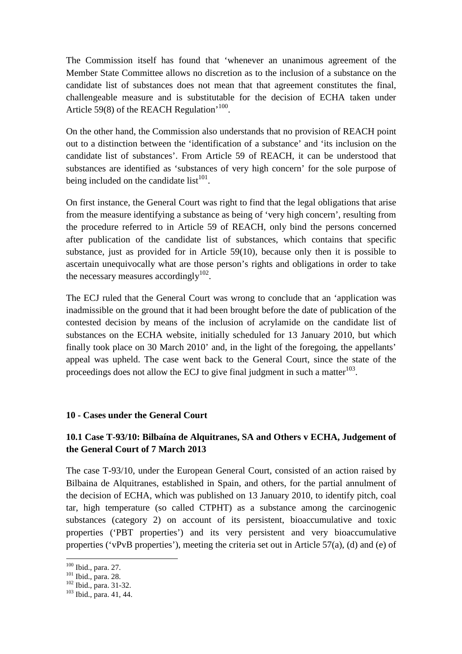The Commission itself has found that 'whenever an unanimous agreement of the Member State Committee allows no discretion as to the inclusion of a substance on the candidate list of substances does not mean that that agreement constitutes the final, challengeable measure and is substitutable for the decision of ECHA taken under Article 59(8) of the REACH Regulation<sup>'100</sup>.

On the other hand, the Commission also understands that no provision of REACH point out to a distinction between the 'identification of a substance' and 'its inclusion on the candidate list of substances'. From Article 59 of REACH, it can be understood that substances are identified as 'substances of very high concern' for the sole purpose of being included on the candidate  $list^{101}$ .

On first instance, the General Court was right to find that the legal obligations that arise from the measure identifying a substance as being of 'very high concern', resulting from the procedure referred to in Article 59 of REACH, only bind the persons concerned after publication of the candidate list of substances, which contains that specific substance, just as provided for in Article 59(10), because only then it is possible to ascertain unequivocally what are those person's rights and obligations in order to take the necessary measures accordingly $102$ .

The ECJ ruled that the General Court was wrong to conclude that an 'application was inadmissible on the ground that it had been brought before the date of publication of the contested decision by means of the inclusion of acrylamide on the candidate list of substances on the ECHA website, initially scheduled for 13 January 2010, but which finally took place on 30 March 2010' and, in the light of the foregoing, the appellants' appeal was upheld. The case went back to the General Court, since the state of the proceedings does not allow the ECJ to give final judgment in such a matter  $103$ .

## **10 - Cases under the General Court**

## **10.1 Case T-93/10: Bilbaína de Alquitranes, SA and Others v ECHA, Judgement of the General Court of 7 March 2013**

The case T-93/10, under the European General Court, consisted of an action raised by Bilbaina de Alquitranes, established in Spain, and others, for the partial annulment of the decision of ECHA, which was published on 13 January 2010, to identify pitch, coal tar, high temperature (so called CTPHT) as a substance among the carcinogenic substances (category 2) on account of its persistent, bioaccumulative and toxic properties ('PBT properties') and its very persistent and very bioaccumulative properties ('vPvB properties'), meeting the criteria set out in Article 57(a), (d) and (e) of

<sup>&</sup>lt;sup>100</sup> Ibid., para. 27.

 $101$  Ibid., para. 28.

<sup>102</sup> Ibid., para. 31-32.

<sup>103</sup> Ibid., para. 41, 44.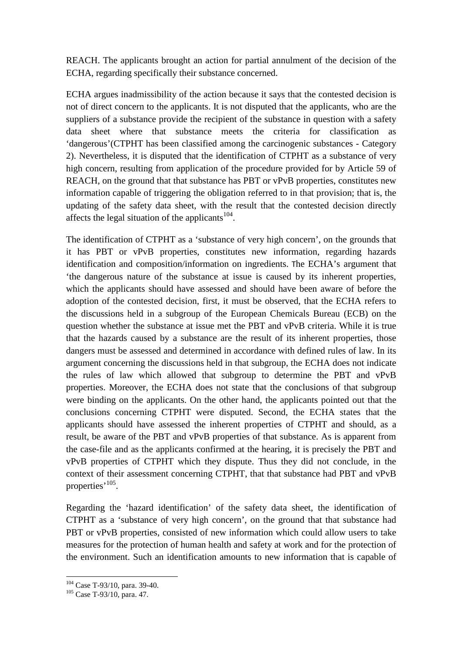REACH. The applicants brought an action for partial annulment of the decision of the ECHA, regarding specifically their substance concerned.

ECHA argues inadmissibility of the action because it says that the contested decision is not of direct concern to the applicants. It is not disputed that the applicants, who are the suppliers of a substance provide the recipient of the substance in question with a safety data sheet where that substance meets the criteria for classification as 'dangerous'(CTPHT has been classified among the carcinogenic substances - Category 2). Nevertheless, it is disputed that the identification of CTPHT as a substance of very high concern, resulting from application of the procedure provided for by Article 59 of REACH, on the ground that that substance has PBT or vPvB properties, constitutes new information capable of triggering the obligation referred to in that provision; that is, the updating of the safety data sheet, with the result that the contested decision directly affects the legal situation of the applicants $104$ .

The identification of CTPHT as a 'substance of very high concern', on the grounds that it has PBT or vPvB properties, constitutes new information, regarding hazards identification and composition/information on ingredients. The ECHA's argument that 'the dangerous nature of the substance at issue is caused by its inherent properties, which the applicants should have assessed and should have been aware of before the adoption of the contested decision, first, it must be observed, that the ECHA refers to the discussions held in a subgroup of the European Chemicals Bureau (ECB) on the question whether the substance at issue met the PBT and vPvB criteria. While it is true that the hazards caused by a substance are the result of its inherent properties, those dangers must be assessed and determined in accordance with defined rules of law. In its argument concerning the discussions held in that subgroup, the ECHA does not indicate the rules of law which allowed that subgroup to determine the PBT and vPvB properties. Moreover, the ECHA does not state that the conclusions of that subgroup were binding on the applicants. On the other hand, the applicants pointed out that the conclusions concerning CTPHT were disputed. Second, the ECHA states that the applicants should have assessed the inherent properties of CTPHT and should, as a result, be aware of the PBT and vPvB properties of that substance. As is apparent from the case-file and as the applicants confirmed at the hearing, it is precisely the PBT and vPvB properties of CTPHT which they dispute. Thus they did not conclude, in the context of their assessment concerning CTPHT, that that substance had PBT and vPvB properties<sup>, 105</sup>.

Regarding the 'hazard identification' of the safety data sheet, the identification of CTPHT as a 'substance of very high concern', on the ground that that substance had PBT or vPvB properties, consisted of new information which could allow users to take measures for the protection of human health and safety at work and for the protection of the environment. Such an identification amounts to new information that is capable of

<sup>104</sup> Case T-93/10, para. 39-40.

<sup>105</sup> Case T-93/10, para. 47.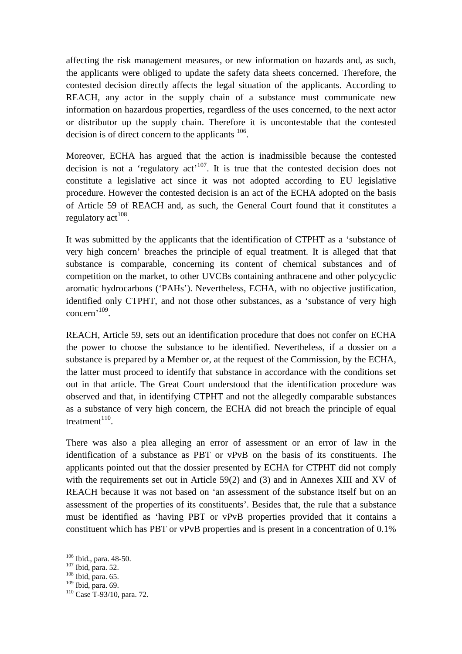affecting the risk management measures, or new information on hazards and, as such, the applicants were obliged to update the safety data sheets concerned. Therefore, the contested decision directly affects the legal situation of the applicants. According to REACH, any actor in the supply chain of a substance must communicate new information on hazardous properties, regardless of the uses concerned, to the next actor or distributor up the supply chain. Therefore it is uncontestable that the contested decision is of direct concern to the applicants  $106$ .

Moreover, ECHA has argued that the action is inadmissible because the contested decision is not a 'regulatory  $act<sup>107</sup>$ . It is true that the contested decision does not constitute a legislative act since it was not adopted according to EU legislative procedure. However the contested decision is an act of the ECHA adopted on the basis of Article 59 of REACH and, as such, the General Court found that it constitutes a regulatory act $^{108}$ .

It was submitted by the applicants that the identification of CTPHT as a 'substance of very high concern' breaches the principle of equal treatment. It is alleged that that substance is comparable, concerning its content of chemical substances and of competition on the market, to other UVCBs containing anthracene and other polycyclic aromatic hydrocarbons ('PAHs'). Nevertheless, ECHA, with no objective justification, identified only CTPHT, and not those other substances, as a 'substance of very high concern'<sup>109</sup> .

REACH, Article 59, sets out an identification procedure that does not confer on ECHA the power to choose the substance to be identified. Nevertheless, if a dossier on a substance is prepared by a Member or, at the request of the Commission, by the ECHA, the latter must proceed to identify that substance in accordance with the conditions set out in that article. The Great Court understood that the identification procedure was observed and that, in identifying CTPHT and not the allegedly comparable substances as a substance of very high concern, the ECHA did not breach the principle of equal treatment $^{110}$ .

There was also a plea alleging an error of assessment or an error of law in the identification of a substance as PBT or vPvB on the basis of its constituents. The applicants pointed out that the dossier presented by ECHA for CTPHT did not comply with the requirements set out in Article 59(2) and (3) and in Annexes XIII and XV of REACH because it was not based on 'an assessment of the substance itself but on an assessment of the properties of its constituents'. Besides that, the rule that a substance must be identified as 'having PBT or vPvB properties provided that it contains a constituent which has PBT or vPvB properties and is present in a concentration of 0.1%

<sup>106</sup> Ibid., para. 48-50.

 $^{107}$  Ibid, para. 52.

 $108$  Ibid, para. 65.

<sup>109</sup> Ibid, para. 69.

<sup>110</sup> Case T-93/10, para. 72.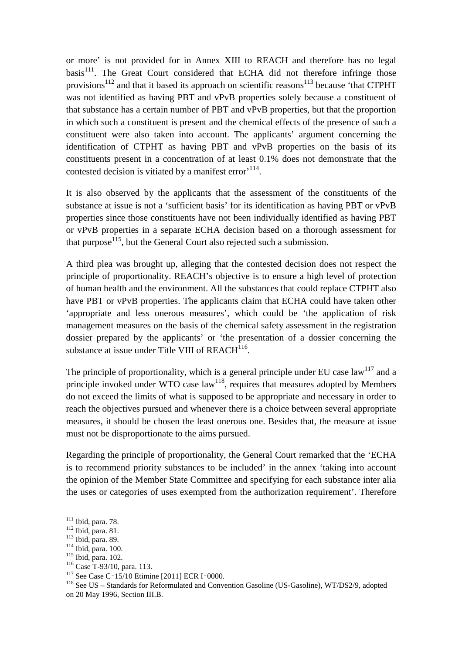or more' is not provided for in Annex XIII to REACH and therefore has no legal  $basis<sup>111</sup>$ . The Great Court considered that ECHA did not therefore infringe those provisions<sup>112</sup> and that it based its approach on scientific reasons<sup>113</sup> because 'that CTPHT was not identified as having PBT and vPvB properties solely because a constituent of that substance has a certain number of PBT and vPvB properties, but that the proportion in which such a constituent is present and the chemical effects of the presence of such a constituent were also taken into account. The applicants' argument concerning the identification of CTPHT as having PBT and vPvB properties on the basis of its constituents present in a concentration of at least 0.1% does not demonstrate that the contested decision is vitiated by a manifest error<sup>, 114</sup>.

It is also observed by the applicants that the assessment of the constituents of the substance at issue is not a 'sufficient basis' for its identification as having PBT or vPvB properties since those constituents have not been individually identified as having PBT or vPvB properties in a separate ECHA decision based on a thorough assessment for that purpose<sup>115</sup>, but the General Court also rejected such a submission.

A third plea was brought up, alleging that the contested decision does not respect the principle of proportionality. REACH's objective is to ensure a high level of protection of human health and the environment. All the substances that could replace CTPHT also have PBT or vPvB properties. The applicants claim that ECHA could have taken other 'appropriate and less onerous measures', which could be 'the application of risk management measures on the basis of the chemical safety assessment in the registration dossier prepared by the applicants' or 'the presentation of a dossier concerning the substance at issue under Title VIII of  $REACH<sup>116</sup>$ .

The principle of proportionality, which is a general principle under EU case  $\text{law}^{117}$  and a principle invoked under WTO case  $law<sup>118</sup>$ , requires that measures adopted by Members do not exceed the limits of what is supposed to be appropriate and necessary in order to reach the objectives pursued and whenever there is a choice between several appropriate measures, it should be chosen the least onerous one. Besides that, the measure at issue must not be disproportionate to the aims pursued.

Regarding the principle of proportionality, the General Court remarked that the 'ECHA is to recommend priority substances to be included' in the annex 'taking into account the opinion of the Member State Committee and specifying for each substance inter alia the uses or categories of uses exempted from the authorization requirement'. Therefore

 $111$  Ibid, para. 78.

<sup>112</sup> Ibid, para. 81.

<sup>113</sup> Ibid, para. 89.

<sup>114</sup> Ibid, para. 100.

<sup>115</sup> Ibid, para. 102.

<sup>116</sup> Case T-93/10, para. 113.

<sup>&</sup>lt;sup>117</sup> See Case C<sup>-</sup>15/10 Etimine [2011] ECR I<sup>-0000</sup>.

<sup>&</sup>lt;sup>118</sup> See US – Standards for Reformulated and Convention Gasoline (US-Gasoline), WT/DS2/9, adopted on 20 May 1996, Section III.B.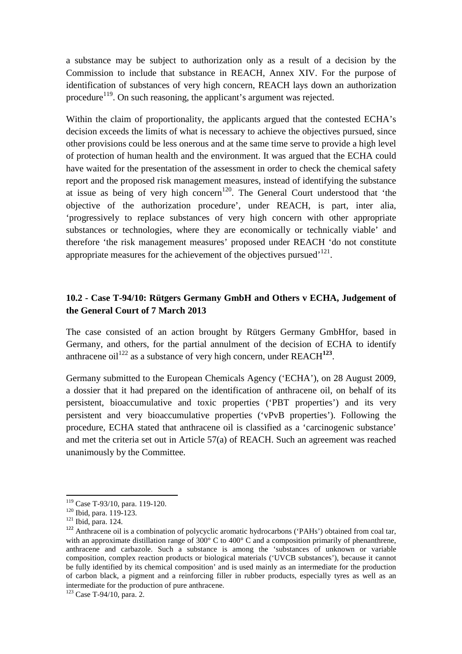a substance may be subject to authorization only as a result of a decision by the Commission to include that substance in REACH, Annex XIV. For the purpose of identification of substances of very high concern, REACH lays down an authorization procedure<sup>119</sup>. On such reasoning, the applicant's argument was rejected.

Within the claim of proportionality, the applicants argued that the contested ECHA's decision exceeds the limits of what is necessary to achieve the objectives pursued, since other provisions could be less onerous and at the same time serve to provide a high level of protection of human health and the environment. It was argued that the ECHA could have waited for the presentation of the assessment in order to check the chemical safety report and the proposed risk management measures, instead of identifying the substance at issue as being of very high concern<sup>120</sup>. The General Court understood that 'the objective of the authorization procedure', under REACH, is part, inter alia, 'progressively to replace substances of very high concern with other appropriate substances or technologies, where they are economically or technically viable' and therefore 'the risk management measures' proposed under REACH 'do not constitute appropriate measures for the achievement of the objectives pursued<sup> $121$ </sup>.

# **10.2 - Case T-94/10: Rütgers Germany GmbH and Others v ECHA, Judgement of the General Court of 7 March 2013**

The case consisted of an action brought by Rütgers Germany GmbHfor, based in Germany, and others, for the partial annulment of the decision of ECHA to identify anthracene oil<sup>122</sup> as a substance of very high concern, under  $REACH^{123}$ .

Germany submitted to the European Chemicals Agency ('ECHA'), on 28 August 2009, a dossier that it had prepared on the identification of anthracene oil, on behalf of its persistent, bioaccumulative and toxic properties ('PBT properties') and its very persistent and very bioaccumulative properties ('vPvB properties'). Following the procedure, ECHA stated that anthracene oil is classified as a 'carcinogenic substance' and met the criteria set out in Article 57(a) of REACH. Such an agreement was reached unanimously by the Committee.

<sup>119</sup> Case T-93/10, para. 119-120.

<sup>120</sup> Ibid, para. 119-123.

<sup>121</sup> Ibid, para. 124.

<sup>&</sup>lt;sup>122</sup> Anthracene oil is a combination of polycyclic aromatic hydrocarbons ('PAHs') obtained from coal tar, with an approximate distillation range of  $300^{\circ}$  C to  $400^{\circ}$  C and a composition primarily of phenanthrene, anthracene and carbazole. Such a substance is among the 'substances of unknown or variable composition, complex reaction products or biological materials ('UVCB substances'), because it cannot be fully identified by its chemical composition' and is used mainly as an intermediate for the production of carbon black, a pigment and a reinforcing filler in rubber products, especially tyres as well as an intermediate for the production of pure anthracene.

<sup>123</sup> Case T-94/10, para. 2.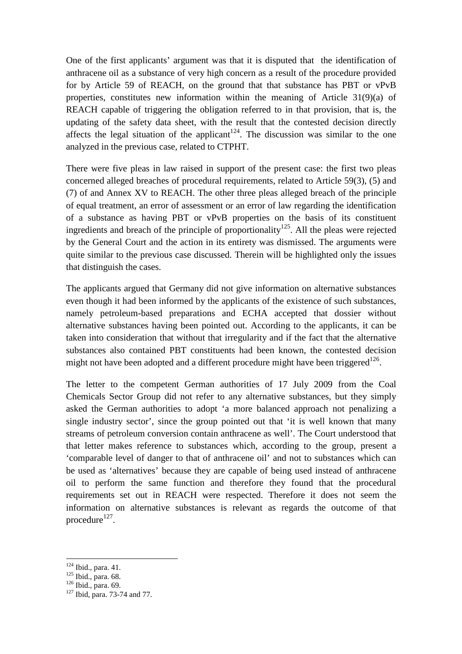One of the first applicants' argument was that it is disputed that the identification of anthracene oil as a substance of very high concern as a result of the procedure provided for by Article 59 of REACH, on the ground that that substance has PBT or vPvB properties, constitutes new information within the meaning of Article 31(9)(a) of REACH capable of triggering the obligation referred to in that provision, that is, the updating of the safety data sheet, with the result that the contested decision directly affects the legal situation of the applicant<sup>124</sup>. The discussion was similar to the one analyzed in the previous case, related to CTPHT.

There were five pleas in law raised in support of the present case: the first two pleas concerned alleged breaches of procedural requirements, related to Article 59(3), (5) and (7) of and Annex XV to REACH. The other three pleas alleged breach of the principle of equal treatment, an error of assessment or an error of law regarding the identification of a substance as having PBT or vPvB properties on the basis of its constituent ingredients and breach of the principle of proportionality<sup>125</sup>. All the pleas were rejected by the General Court and the action in its entirety was dismissed. The arguments were quite similar to the previous case discussed. Therein will be highlighted only the issues that distinguish the cases.

The applicants argued that Germany did not give information on alternative substances even though it had been informed by the applicants of the existence of such substances, namely petroleum-based preparations and ECHA accepted that dossier without alternative substances having been pointed out. According to the applicants, it can be taken into consideration that without that irregularity and if the fact that the alternative substances also contained PBT constituents had been known, the contested decision might not have been adopted and a different procedure might have been triggered<sup>126</sup>.

The letter to the competent German authorities of 17 July 2009 from the Coal Chemicals Sector Group did not refer to any alternative substances, but they simply asked the German authorities to adopt 'a more balanced approach not penalizing a single industry sector', since the group pointed out that 'it is well known that many streams of petroleum conversion contain anthracene as well'. The Court understood that that letter makes reference to substances which, according to the group, present a 'comparable level of danger to that of anthracene oil' and not to substances which can be used as 'alternatives' because they are capable of being used instead of anthracene oil to perform the same function and therefore they found that the procedural requirements set out in REACH were respected. Therefore it does not seem the information on alternative substances is relevant as regards the outcome of that procedure $^{127}$ .

<sup>124</sup> Ibid., para. 41.

 $125$  Ibid., para. 68.

<sup>126</sup> Ibid., para. 69.

 $127$  Ibid, para. 73-74 and 77.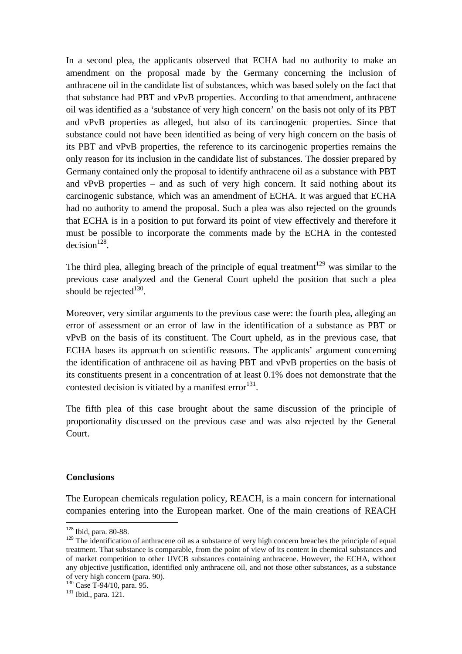In a second plea, the applicants observed that ECHA had no authority to make an amendment on the proposal made by the Germany concerning the inclusion of anthracene oil in the candidate list of substances, which was based solely on the fact that that substance had PBT and vPvB properties. According to that amendment, anthracene oil was identified as a 'substance of very high concern' on the basis not only of its PBT and vPvB properties as alleged, but also of its carcinogenic properties. Since that substance could not have been identified as being of very high concern on the basis of its PBT and vPvB properties, the reference to its carcinogenic properties remains the only reason for its inclusion in the candidate list of substances. The dossier prepared by Germany contained only the proposal to identify anthracene oil as a substance with PBT and vPvB properties – and as such of very high concern. It said nothing about its carcinogenic substance, which was an amendment of ECHA. It was argued that ECHA had no authority to amend the proposal. Such a plea was also rejected on the grounds that ECHA is in a position to put forward its point of view effectively and therefore it must be possible to incorporate the comments made by the ECHA in the contested  $decision<sup>128</sup>$ .

The third plea, alleging breach of the principle of equal treatment<sup>129</sup> was similar to the previous case analyzed and the General Court upheld the position that such a plea should be rejected $130$ .

Moreover, very similar arguments to the previous case were: the fourth plea, alleging an error of assessment or an error of law in the identification of a substance as PBT or vPvB on the basis of its constituent. The Court upheld, as in the previous case, that ECHA bases its approach on scientific reasons. The applicants' argument concerning the identification of anthracene oil as having PBT and vPvB properties on the basis of its constituents present in a concentration of at least 0.1% does not demonstrate that the contested decision is vitiated by a manifest error $^{131}$ .

The fifth plea of this case brought about the same discussion of the principle of proportionality discussed on the previous case and was also rejected by the General Court.

#### **Conclusions**

l

The European chemicals regulation policy, REACH, is a main concern for international companies entering into the European market. One of the main creations of REACH

<sup>128</sup> Ibid, para. 80-88.

<sup>&</sup>lt;sup>129</sup> The identification of anthracene oil as a substance of very high concern breaches the principle of equal treatment. That substance is comparable, from the point of view of its content in chemical substances and of market competition to other UVCB substances containing anthracene. However, the ECHA, without any objective justification, identified only anthracene oil, and not those other substances, as a substance of very high concern (para. 90).

<sup>&</sup>lt;sup>130</sup> Case T-94/10, para. 95.

<sup>131</sup> Ibid., para. 121.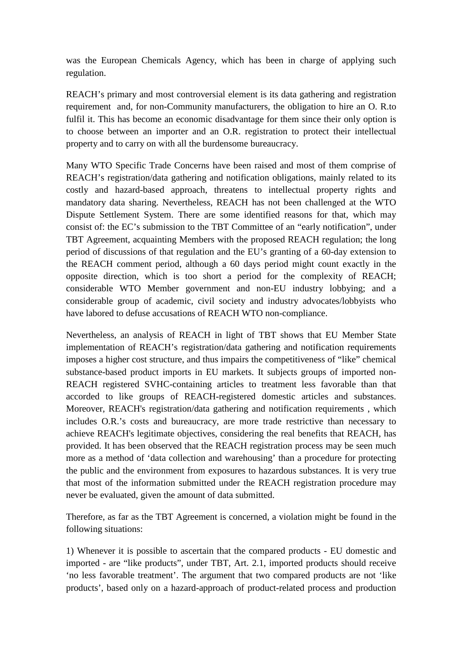was the European Chemicals Agency, which has been in charge of applying such regulation.

REACH's primary and most controversial element is its data gathering and registration requirement and, for non-Community manufacturers, the obligation to hire an O. R.to fulfil it. This has become an economic disadvantage for them since their only option is to choose between an importer and an O.R. registration to protect their intellectual property and to carry on with all the burdensome bureaucracy.

Many WTO Specific Trade Concerns have been raised and most of them comprise of REACH's registration/data gathering and notification obligations, mainly related to its costly and hazard-based approach, threatens to intellectual property rights and mandatory data sharing. Nevertheless, REACH has not been challenged at the WTO Dispute Settlement System. There are some identified reasons for that, which may consist of: the EC's submission to the TBT Committee of an "early notification", under TBT Agreement, acquainting Members with the proposed REACH regulation; the long period of discussions of that regulation and the EU's granting of a 60-day extension to the REACH comment period, although a 60 days period might count exactly in the opposite direction, which is too short a period for the complexity of REACH; considerable WTO Member government and non-EU industry lobbying; and a considerable group of academic, civil society and industry advocates/lobbyists who have labored to defuse accusations of REACH WTO non-compliance.

Nevertheless, an analysis of REACH in light of TBT shows that EU Member State implementation of REACH's registration/data gathering and notification requirements imposes a higher cost structure, and thus impairs the competitiveness of "like" chemical substance-based product imports in EU markets. It subjects groups of imported non-REACH registered SVHC-containing articles to treatment less favorable than that accorded to like groups of REACH-registered domestic articles and substances. Moreover, REACH's registration/data gathering and notification requirements , which includes O.R.'s costs and bureaucracy, are more trade restrictive than necessary to achieve REACH's legitimate objectives, considering the real benefits that REACH, has provided. It has been observed that the REACH registration process may be seen much more as a method of 'data collection and warehousing' than a procedure for protecting the public and the environment from exposures to hazardous substances. It is very true that most of the information submitted under the REACH registration procedure may never be evaluated, given the amount of data submitted.

Therefore, as far as the TBT Agreement is concerned, a violation might be found in the following situations:

1) Whenever it is possible to ascertain that the compared products - EU domestic and imported - are "like products", under TBT, Art. 2.1, imported products should receive 'no less favorable treatment'. The argument that two compared products are not 'like products', based only on a hazard-approach of product-related process and production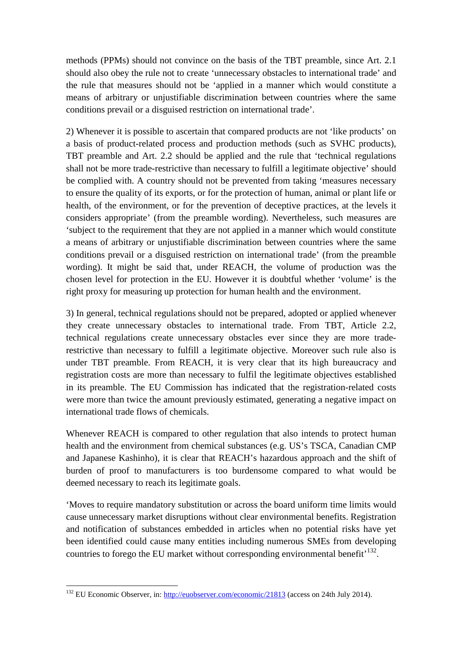methods (PPMs) should not convince on the basis of the TBT preamble, since Art. 2.1 should also obey the rule not to create 'unnecessary obstacles to international trade' and the rule that measures should not be 'applied in a manner which would constitute a means of arbitrary or unjustifiable discrimination between countries where the same conditions prevail or a disguised restriction on international trade'.

2) Whenever it is possible to ascertain that compared products are not 'like products' on a basis of product-related process and production methods (such as SVHC products), TBT preamble and Art. 2.2 should be applied and the rule that 'technical regulations shall not be more trade-restrictive than necessary to fulfill a legitimate objective' should be complied with. A country should not be prevented from taking 'measures necessary to ensure the quality of its exports, or for the protection of human, animal or plant life or health, of the environment, or for the prevention of deceptive practices, at the levels it considers appropriate' (from the preamble wording). Nevertheless, such measures are 'subject to the requirement that they are not applied in a manner which would constitute a means of arbitrary or unjustifiable discrimination between countries where the same conditions prevail or a disguised restriction on international trade' (from the preamble wording). It might be said that, under REACH, the volume of production was the chosen level for protection in the EU. However it is doubtful whether 'volume' is the right proxy for measuring up protection for human health and the environment.

3) In general, technical regulations should not be prepared, adopted or applied whenever they create unnecessary obstacles to international trade. From TBT, Article 2.2, technical regulations create unnecessary obstacles ever since they are more traderestrictive than necessary to fulfill a legitimate objective. Moreover such rule also is under TBT preamble. From REACH, it is very clear that its high bureaucracy and registration costs are more than necessary to fulfil the legitimate objectives established in its preamble. The EU Commission has indicated that the registration-related costs were more than twice the amount previously estimated, generating a negative impact on international trade flows of chemicals.

Whenever REACH is compared to other regulation that also intends to protect human health and the environment from chemical substances (e.g. US's TSCA, Canadian CMP and Japanese Kashinho), it is clear that REACH's hazardous approach and the shift of burden of proof to manufacturers is too burdensome compared to what would be deemed necessary to reach its legitimate goals.

'Moves to require mandatory substitution or across the board uniform time limits would cause unnecessary market disruptions without clear environmental benefits. Registration and notification of substances embedded in articles when no potential risks have yet been identified could cause many entities including numerous SMEs from developing countries to forego the EU market without corresponding environmental benefit<sup> $132$ </sup>.

<sup>&</sup>lt;sup>132</sup> EU Economic Observer, in: http://<u>euobserver.com/economic/21813</u> (access on 24th July 2014).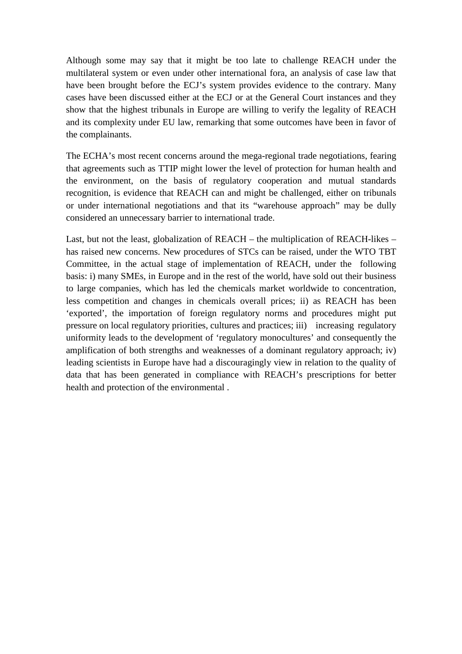Although some may say that it might be too late to challenge REACH under the multilateral system or even under other international fora, an analysis of case law that have been brought before the ECJ's system provides evidence to the contrary. Many cases have been discussed either at the ECJ or at the General Court instances and they show that the highest tribunals in Europe are willing to verify the legality of REACH and its complexity under EU law, remarking that some outcomes have been in favor of the complainants.

The ECHA's most recent concerns around the mega-regional trade negotiations, fearing that agreements such as TTIP might lower the level of protection for human health and the environment, on the basis of regulatory cooperation and mutual standards recognition, is evidence that REACH can and might be challenged, either on tribunals or under international negotiations and that its "warehouse approach" may be dully considered an unnecessary barrier to international trade.

Last, but not the least, globalization of REACH – the multiplication of REACH-likes – has raised new concerns. New procedures of STCs can be raised, under the WTO TBT Committee, in the actual stage of implementation of REACH, under the following basis: i) many SMEs, in Europe and in the rest of the world, have sold out their business to large companies, which has led the chemicals market worldwide to concentration, less competition and changes in chemicals overall prices; ii) as REACH has been 'exported', the importation of foreign regulatory norms and procedures might put pressure on local regulatory priorities, cultures and practices; iii) increasing regulatory uniformity leads to the development of 'regulatory monocultures' and consequently the amplification of both strengths and weaknesses of a dominant regulatory approach; iv) leading scientists in Europe have had a discouragingly view in relation to the quality of data that has been generated in compliance with REACH's prescriptions for better health and protection of the environmental .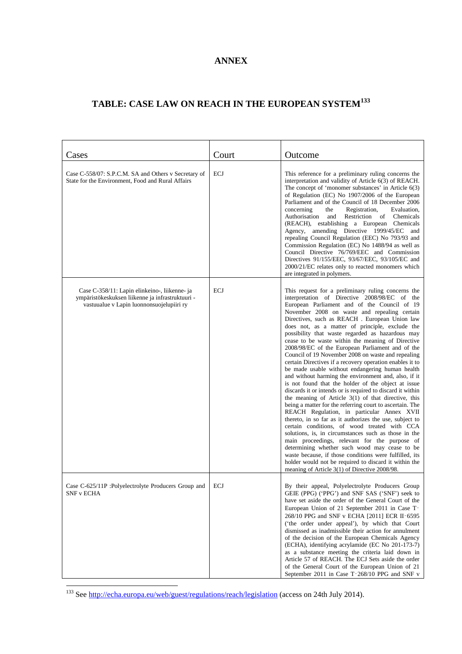## **ANNEX**

# **TABLE: CASE LAW ON REACH IN THE EUROPEAN SYSTEM<sup>133</sup>**

| Cases                                                                                                                                          | Court | Outcome                                                                                                                                                                                                                                                                                                                                                                                                                                                                                                                                                                                                                                                                                                                                                                                                                                                                                                                                                                                                                                                                                                                                                                                                                                                                                                                                                                                                                          |
|------------------------------------------------------------------------------------------------------------------------------------------------|-------|----------------------------------------------------------------------------------------------------------------------------------------------------------------------------------------------------------------------------------------------------------------------------------------------------------------------------------------------------------------------------------------------------------------------------------------------------------------------------------------------------------------------------------------------------------------------------------------------------------------------------------------------------------------------------------------------------------------------------------------------------------------------------------------------------------------------------------------------------------------------------------------------------------------------------------------------------------------------------------------------------------------------------------------------------------------------------------------------------------------------------------------------------------------------------------------------------------------------------------------------------------------------------------------------------------------------------------------------------------------------------------------------------------------------------------|
| Case C-558/07: S.P.C.M. SA and Others v Secretary of<br>State for the Environment, Food and Rural Affairs                                      | ECJ   | This reference for a preliminary ruling concerns the<br>interpretation and validity of Article 6(3) of REACH.<br>The concept of 'monomer substances' in Article 6(3)<br>of Regulation (EC) No 1907/2006 of the European<br>Parliament and of the Council of 18 December 2006<br>concerning<br>the<br>Registration,<br>Evaluation,<br>Authorisation<br>and<br>Restriction of Chemicals<br>(REACH), establishing a European Chemicals<br>Agency, amending Directive 1999/45/EC and<br>repealing Council Regulation (EEC) No 793/93 and<br>Commission Regulation (EC) No 1488/94 as well as<br>Council Directive 76/769/EEC and Commission<br>Directives 91/155/EEC, 93/67/EEC, 93/105/EC and<br>2000/21/EC relates only to reacted monomers which<br>are integrated in polymers.                                                                                                                                                                                                                                                                                                                                                                                                                                                                                                                                                                                                                                                   |
| Case C-358/11: Lapin elinkeino-, liikenne- ja<br>ympäristökeskuksen liikenne ja infrastruktuuri -<br>vastuualue v Lapin luonnonsuojelupiiri ry | ECJ   | This request for a preliminary ruling concerns the<br>interpretation of Directive 2008/98/EC of the<br>European Parliament and of the Council of 19<br>November 2008 on waste and repealing certain<br>Directives, such as REACH. European Union law<br>does not, as a matter of principle, exclude the<br>possibility that waste regarded as hazardous may<br>cease to be waste within the meaning of Directive<br>2008/98/EC of the European Parliament and of the<br>Council of 19 November 2008 on waste and repealing<br>certain Directives if a recovery operation enables it to<br>be made usable without endangering human health<br>and without harming the environment and, also, if it<br>is not found that the holder of the object at issue<br>discards it or intends or is required to discard it within<br>the meaning of Article 3(1) of that directive, this<br>being a matter for the referring court to ascertain. The<br>REACH Regulation, in particular Annex XVII<br>thereto, in so far as it authorizes the use, subject to<br>certain conditions, of wood treated with CCA<br>solutions, is, in circumstances such as those in the<br>main proceedings, relevant for the purpose of<br>determining whether such wood may cease to be<br>waste because, if those conditions were fulfilled, its<br>holder would not be required to discard it within the<br>meaning of Article 3(1) of Directive 2008/98. |
| Case C-625/11P : Polyelectrolyte Producers Group and<br><b>SNF v ECHA</b>                                                                      | ECJ   | By their appeal, Polyelectrolyte Producers Group<br>GEIE (PPG) ('PPG') and SNF SAS ('SNF') seek to<br>have set aside the order of the General Court of the<br>European Union of 21 September 2011 in Case T-<br>268/10 PPG and SNF v ECHA [2011] ECR II-6595<br>('the order under appeal'), by which that Court<br>dismissed as inadmissible their action for annulment<br>of the decision of the European Chemicals Agency<br>(ECHA), identifying acrylamide (EC No 201-173-7)<br>as a substance meeting the criteria laid down in<br>Article 57 of REACH. The ECJ Sets aside the order<br>of the General Court of the European Union of 21<br>September 2011 in Case T-268/10 PPG and SNF v                                                                                                                                                                                                                                                                                                                                                                                                                                                                                                                                                                                                                                                                                                                                    |

<sup>&</sup>lt;sup>133</sup> See http://echa.europa.eu/web/guest/regulations/reach/legislation (access on 24th July 2014).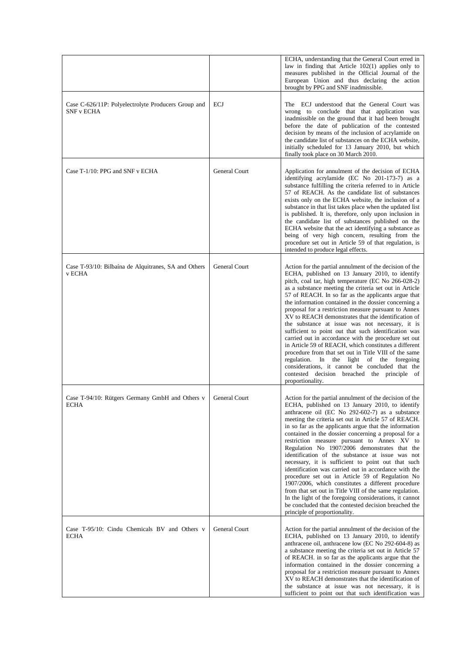|                                                                          |                      | ECHA, understanding that the General Court erred in<br>law in finding that Article $102(1)$ applies only to<br>measures published in the Official Journal of the<br>European Union and thus declaring the action<br>brought by PPG and SNF inadmissible.                                                                                                                                                                                                                                                                                                                                                                                                                                                                                                                                                                                                                                                                             |
|--------------------------------------------------------------------------|----------------------|--------------------------------------------------------------------------------------------------------------------------------------------------------------------------------------------------------------------------------------------------------------------------------------------------------------------------------------------------------------------------------------------------------------------------------------------------------------------------------------------------------------------------------------------------------------------------------------------------------------------------------------------------------------------------------------------------------------------------------------------------------------------------------------------------------------------------------------------------------------------------------------------------------------------------------------|
| Case C-626/11P: Polyelectrolyte Producers Group and<br><b>SNF v ECHA</b> | <b>ECJ</b>           | The ECJ understood that the General Court was<br>wrong to conclude that that application was<br>inadmissible on the ground that it had been brought<br>before the date of publication of the contested<br>decision by means of the inclusion of acrylamide on<br>the candidate list of substances on the ECHA website,<br>initially scheduled for 13 January 2010, but which<br>finally took place on 30 March 2010.                                                                                                                                                                                                                                                                                                                                                                                                                                                                                                                 |
| Case T-1/10: PPG and SNF v ECHA                                          | General Court        | Application for annulment of the decision of ECHA<br>identifying acrylamide (EC No 201-173-7) as a<br>substance fulfilling the criteria referred to in Article<br>57 of REACH. As the candidate list of substances<br>exists only on the ECHA website, the inclusion of a<br>substance in that list takes place when the updated list<br>is published. It is, therefore, only upon inclusion in<br>the candidate list of substances published on the<br>ECHA website that the act identifying a substance as<br>being of very high concern, resulting from the<br>procedure set out in Article 59 of that regulation, is<br>intended to produce legal effects.                                                                                                                                                                                                                                                                       |
| Case T-93/10: Bilbaína de Alquitranes, SA and Others<br>v ECHA           | <b>General Court</b> | Action for the partial annulment of the decision of the<br>ECHA, published on 13 January 2010, to identify<br>pitch, coal tar, high temperature (EC No 266-028-2)<br>as a substance meeting the criteria set out in Article<br>57 of REACH. In so far as the applicants argue that<br>the information contained in the dossier concerning a<br>proposal for a restriction measure pursuant to Annex<br>XV to REACH demonstrates that the identification of<br>the substance at issue was not necessary, it is<br>sufficient to point out that such identification was<br>carried out in accordance with the procedure set out<br>in Article 59 of REACH, which constitutes a different<br>procedure from that set out in Title VIII of the same<br>regulation. In the light of the foregoing<br>considerations, it cannot be concluded that the<br>contested decision breached the principle of<br>proportionality.                  |
| Case T-94/10: Rütgers Germany GmbH and Others v<br><b>ECHA</b>           | General Court        | Action for the partial annulment of the decision of the<br>ECHA, published on 13 January 2010, to identify<br>anthracene oil (EC No 292-602-7) as a substance<br>meeting the criteria set out in Article 57 of REACH.<br>in so far as the applicants argue that the information<br>contained in the dossier concerning a proposal for a<br>restriction measure pursuant to Annex XV to<br>Regulation No 1907/2006 demonstrates that the<br>identification of the substance at issue was not<br>necessary, it is sufficient to point out that such<br>identification was carried out in accordance with the<br>procedure set out in Article 59 of Regulation No<br>1907/2006, which constitutes a different procedure<br>from that set out in Title VIII of the same regulation.<br>In the light of the foregoing considerations, it cannot<br>be concluded that the contested decision breached the<br>principle of proportionality. |
| Case T-95/10: Cindu Chemicals BV and Others v<br><b>ECHA</b>             | General Court        | Action for the partial annulment of the decision of the<br>ECHA, published on 13 January 2010, to identify<br>anthracene oil, anthracene low (EC No 292-604-8) as<br>a substance meeting the criteria set out in Article 57<br>of REACH. in so far as the applicants argue that the<br>information contained in the dossier concerning a<br>proposal for a restriction measure pursuant to Annex<br>XV to REACH demonstrates that the identification of<br>the substance at issue was not necessary, it is<br>sufficient to point out that such identification was                                                                                                                                                                                                                                                                                                                                                                   |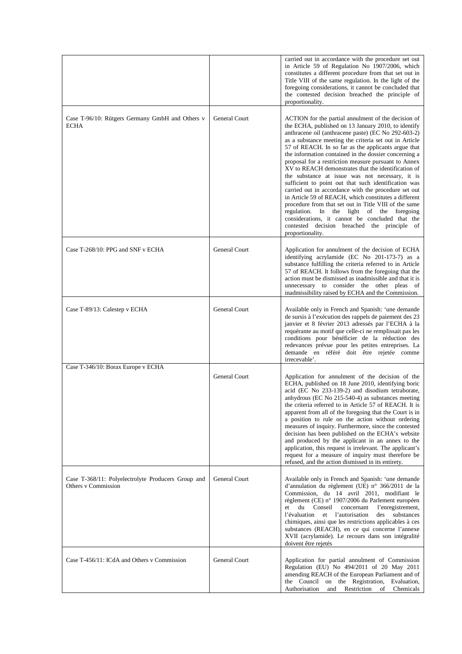|                                                                           |                      | carried out in accordance with the procedure set out<br>in Article 59 of Regulation No 1907/2006, which<br>constitutes a different procedure from that set out in<br>Title VIII of the same regulation. In the light of the<br>foregoing considerations, it cannot be concluded that<br>the contested decision breached the principle of<br>proportionality.                                                                                                                                                                                                                                                                                                                                                                                                                                                                                                                                                        |
|---------------------------------------------------------------------------|----------------------|---------------------------------------------------------------------------------------------------------------------------------------------------------------------------------------------------------------------------------------------------------------------------------------------------------------------------------------------------------------------------------------------------------------------------------------------------------------------------------------------------------------------------------------------------------------------------------------------------------------------------------------------------------------------------------------------------------------------------------------------------------------------------------------------------------------------------------------------------------------------------------------------------------------------|
| Case T-96/10: Rütgers Germany GmbH and Others v<br>ECHA                   | General Court        | ACTION for the partial annulment of the decision of<br>the ECHA, published on 13 January 2010, to identify<br>anthracene oil (anthracene paste) (EC No 292-603-2)<br>as a substance meeting the criteria set out in Article<br>57 of REACH. In so far as the applicants argue that<br>the information contained in the dossier concerning a<br>proposal for a restriction measure pursuant to Annex<br>XV to REACH demonstrates that the identification of<br>the substance at issue was not necessary, it is<br>sufficient to point out that such identification was<br>carried out in accordance with the procedure set out<br>in Article 59 of REACH, which constitutes a different<br>procedure from that set out in Title VIII of the same<br>regulation. In the light of the foregoing<br>considerations, it cannot be concluded that the<br>contested decision breached the principle of<br>proportionality. |
| Case T-268/10: PPG and SNF v ECHA                                         | General Court        | Application for annulment of the decision of ECHA<br>identifying acrylamide (EC No 201-173-7) as a<br>substance fulfilling the criteria referred to in Article<br>57 of REACH. It follows from the foregoing that the<br>action must be dismissed as inadmissible and that it is<br>unnecessary to consider the other pleas of<br>inadmissibility raised by ECHA and the Commission.                                                                                                                                                                                                                                                                                                                                                                                                                                                                                                                                |
| Case T-89/13: Calestep v ECHA                                             | <b>General Court</b> | Available only in French and Spanish: 'une demande<br>de sursis à l'exécution des rappels de paiement des 23<br>janvier et 8 février 2013 adressés par l'ECHA à la<br>requérante au motif que celle-ci ne remplissait pas les<br>conditions pour bénéficier de la réduction des<br>redevances prévue pour les petites entreprises. La<br>demande en référé doit être rejetée comme<br>irrecevable'.                                                                                                                                                                                                                                                                                                                                                                                                                                                                                                                 |
| Case T-346/10: Borax Europe v ECHA                                        | <b>General Court</b> | Application for annulment of the decision of the<br>ECHA, published on 18 June 2010, identifying boric<br>acid (EC No 233-139-2) and disodium tetraborate,<br>anhydrous (EC No 215-540-4) as substances meeting<br>the criteria referred to in Article 57 of REACH. It is<br>apparent from all of the foregoing that the Court is in<br>a position to rule on the action without ordering<br>measures of inquiry. Furthermore, since the contested<br>decision has been published on the ECHA's website<br>and produced by the applicant in an annex to the<br>application, this request is irrelevant. The applicant's<br>request for a measure of inquiry must therefore be<br>refused, and the action dismissed in its entirety.                                                                                                                                                                                 |
| Case T-368/11: Polyelectrolyte Producers Group and<br>Others v Commission | General Court        | Available only in French and Spanish: 'une demande<br>d'annulation du règlement (UE) n° 366/2011 de la<br>Commission, du 14 avril 2011, modifiant le<br>règlement (CE) n° 1907/2006 du Parlement européen<br>Conseil<br>et<br>du<br>concernant<br>l'enregistrement,<br>l'évaluation<br>et l'autorisation<br>substances<br>des<br>chimiques, ainsi que les restrictions applicables à ces<br>substances (REACH), en ce qui concerne l'annexe<br>XVII (acrylamide). Le recours dans son intégralité<br>doivent être rejetés                                                                                                                                                                                                                                                                                                                                                                                           |
| Case T-456/11: ICdA and Others v Commission                               | General Court        | Application for partial annulment of Commission<br>Regulation (EU) No 494/2011 of 20 May 2011<br>amending REACH of the European Parliament and of<br>the Council<br>on the Registration,<br>Evaluation,<br>Authorisation<br>and<br>Restriction<br>of<br>Chemicals                                                                                                                                                                                                                                                                                                                                                                                                                                                                                                                                                                                                                                                   |